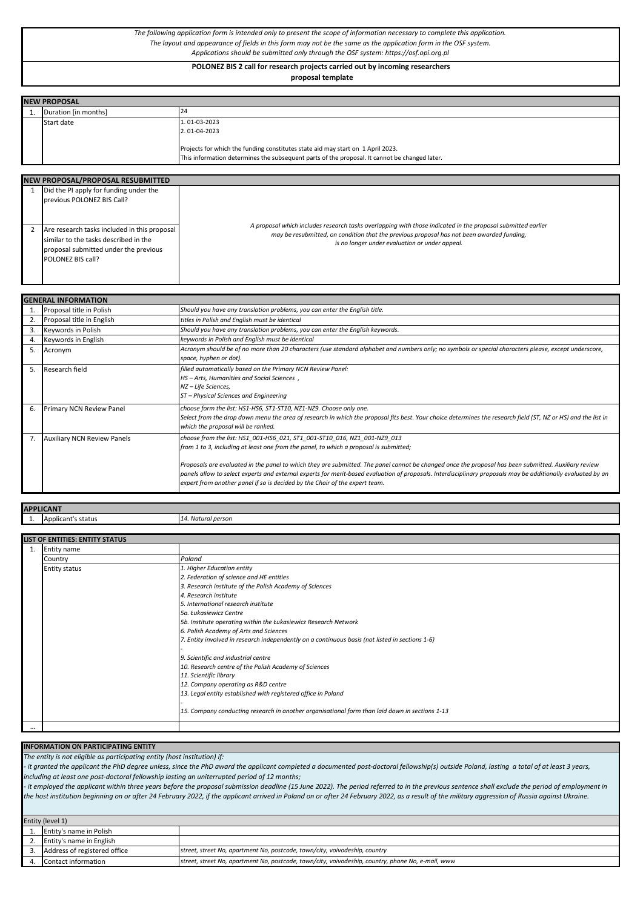*The following application form is intended only to present the scope of information necessary to complete this application. The layout and appearance of fields in this form may not be the same as the application form in the OSF system. Applications should be submitted only through the OSF system: https://osf.opi.org.pl*

**POLONEZ BIS 2 call for research projects carried out by incoming researchers** 

 **proposal template**

| <b>NEW PROPOSAL</b>                                                                                                                                 |                                                                                                                                                                                                                                                            |  |  |  |
|-----------------------------------------------------------------------------------------------------------------------------------------------------|------------------------------------------------------------------------------------------------------------------------------------------------------------------------------------------------------------------------------------------------------------|--|--|--|
| Duration [in months]                                                                                                                                | 24                                                                                                                                                                                                                                                         |  |  |  |
| Start date                                                                                                                                          | 1.01-03-2023<br>2.01-04-2023<br>Projects for which the funding constitutes state aid may start on 1 April 2023.<br>This information determines the subsequent parts of the proposal. It cannot be changed later.                                           |  |  |  |
|                                                                                                                                                     |                                                                                                                                                                                                                                                            |  |  |  |
| NEW PROPOSAL/PROPOSAL RESUBMITTED                                                                                                                   |                                                                                                                                                                                                                                                            |  |  |  |
| Did the PI apply for funding under the<br>previous POLONEZ BIS Call?                                                                                |                                                                                                                                                                                                                                                            |  |  |  |
| Are research tasks included in this proposal<br>similar to the tasks described in the<br>proposal submitted under the previous<br>POLONEZ BIS call? | A proposal which includes research tasks overlapping with those indicated in the proposal submitted earlier<br>may be resubmitted, on condition that the previous proposal has not been awarded funding,<br>is no longer under evaluation or under appeal. |  |  |  |

#### 1. Proposal title in Polish 2. Proposal title in English 3. Keywords in Polish 4. Keywords in English 5. Acronym 5. Research field 6. Primary NCN Review Panel 7. Auxiliary NCN Review Panels *choose form the list: HS1-HS6, ST1-ST10, NZ1-NZ9. Choose only one. Select from the drop down menu the area of research in which the proposal fits best. Your choice determines the research field (ST, NZ or HS) and the list in which the proposal will be ranked. Acronym should be of no more than 20 characters (use standard alphabet and numbers only; no symbols or special characters please, except underscore, space, hyphen or dot). filled automatically based on the Primary NCN Review Panel: HS – Arts, Humanities and Social Sciences , NZ – Life Sciences, ST – Physical Sciences and Engineering titles in Polish and English must be identical Should you have any translation problems, you can enter the English keywords. keywords in Polish and English must be identical* **GENERAL INFORMATION** *choose from the list: HS1\_001-HS6\_021, ST1\_001-ST10\_016, NZ1\_001-NZ9\_013 from 1 to 3, including at least one from the panel, to which a proposal is submitted; Proposals are evaluated in the panel to which they are submitted. The panel cannot be changed once the proposal has been submitted. Auxiliary review panels allow to select experts and external experts for merit-based evaluation of proposals. Interdisciplinary proposals may be additionally evaluated by an expert from another panel if so is decided by the Chair of the expert team. Should you have any translation problems, you can enter the English title.*

| <b>APPLICANT</b>   |                    |
|--------------------|--------------------|
| Applicant's status | 14. Natural person |

|    | LIST OF ENTITIES: ENTITY STATUS |                                                                                                 |  |
|----|---------------------------------|-------------------------------------------------------------------------------------------------|--|
| 1. | Entity name                     |                                                                                                 |  |
|    | Country                         | Poland                                                                                          |  |
|    | <b>Entity status</b>            | 1. Higher Education entity                                                                      |  |
|    |                                 | 2. Federation of science and HE entities                                                        |  |
|    |                                 | 3. Research institute of the Polish Academy of Sciences                                         |  |
|    |                                 | 4. Research institute                                                                           |  |
|    |                                 | 5. International research institute                                                             |  |
|    |                                 | 5a. Łukasiewicz Centre                                                                          |  |
|    |                                 | 5b. Institute operating within the Łukasiewicz Research Network                                 |  |
|    |                                 | 6. Polish Academy of Arts and Sciences                                                          |  |
|    |                                 | 7. Entity involved in research independently on a continuous basis (not listed in sections 1-6) |  |
|    |                                 |                                                                                                 |  |
|    |                                 | 9. Scientific and industrial centre                                                             |  |
|    |                                 | 10. Research centre of the Polish Academy of Sciences                                           |  |
|    |                                 | 11. Scientific library                                                                          |  |
|    |                                 | 12. Company operating as R&D centre                                                             |  |
|    |                                 | 13. Legal entity established with registered office in Poland                                   |  |
|    |                                 |                                                                                                 |  |
|    |                                 | 15. Company conducting research in another organisational form than laid down in sections 1-13  |  |
|    |                                 |                                                                                                 |  |
|    |                                 |                                                                                                 |  |

## **INFORMATION ON PARTICIPATING ENTITY**

*The entity is not eligible as participating entity (host institution) if:*

*- it granted the applicant the PhD degree unless, since the PhD award the applicant completed a documented post-doctoral fellowship(s) outside Poland, lasting a total of at least 3 years, including at least one post-doctoral fellowship lasting an uniterrupted period of 12 months;* 

*- it employed the applicant within three years before the proposal submission deadline (15 June 2022). The period referred to in the previous sentence shall exclude the period of employment in the host institution beginning on or after 24 February 2022, if the applicant arrived in Poland on or after 24 February 2022, as a result of the military aggression of Russia against Ukraine.*

| Entity (level 1)                                                                                                         |                                                                            |  |  |
|--------------------------------------------------------------------------------------------------------------------------|----------------------------------------------------------------------------|--|--|
| Entity's name in Polish                                                                                                  |                                                                            |  |  |
| Entity's name in English                                                                                                 |                                                                            |  |  |
| Address of registered office                                                                                             | street, street No, apartment No, postcode, town/city, voivodeship, country |  |  |
| street, street No, apartment No, postcode, town/city, voivodeship, country, phone No, e-mail, www<br>Contact information |                                                                            |  |  |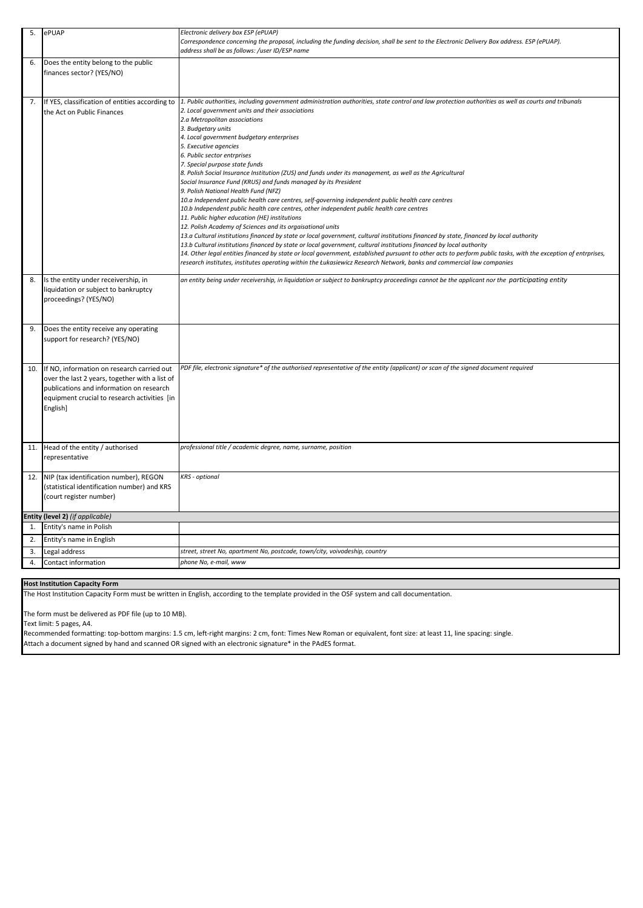| 5.               | ePUAP                                                                                                                                                                                                | Electronic delivery box ESP (ePUAP)<br>Correspondence concerning the proposal, including the funding decision, shall be sent to the Electronic Delivery Box address. ESP (ePUAP).<br>address shall be as follows: /user ID/ESP name                                                                                                                                                                                                                                                                                                                                                                                                                                                                                                                                                                                                                                                                                                                                                                                                                                                                                                                                                                                                                                                                                                                                                                                                                                                                        |
|------------------|------------------------------------------------------------------------------------------------------------------------------------------------------------------------------------------------------|------------------------------------------------------------------------------------------------------------------------------------------------------------------------------------------------------------------------------------------------------------------------------------------------------------------------------------------------------------------------------------------------------------------------------------------------------------------------------------------------------------------------------------------------------------------------------------------------------------------------------------------------------------------------------------------------------------------------------------------------------------------------------------------------------------------------------------------------------------------------------------------------------------------------------------------------------------------------------------------------------------------------------------------------------------------------------------------------------------------------------------------------------------------------------------------------------------------------------------------------------------------------------------------------------------------------------------------------------------------------------------------------------------------------------------------------------------------------------------------------------------|
| 6.               | Does the entity belong to the public<br>finances sector? (YES/NO)                                                                                                                                    |                                                                                                                                                                                                                                                                                                                                                                                                                                                                                                                                                                                                                                                                                                                                                                                                                                                                                                                                                                                                                                                                                                                                                                                                                                                                                                                                                                                                                                                                                                            |
| 7.               | If YES, classification of entities according to<br>the Act on Public Finances                                                                                                                        | 1. Public authorities, including government administration authorities, state control and law protection authorities as well as courts and tribunals<br>2. Local government units and their associations<br>2.a Metropolitan associations<br>3. Budgetary units<br>4. Local government budgetary enterprises<br>5. Executive agencies<br>6. Public sector entrprises<br>7. Special purpose state funds<br>8. Polish Social Insurance Institution (ZUS) and funds under its management, as well as the Agricultural<br>Social Insurance Fund (KRUS) and funds managed by its President<br>9. Polish National Health Fund (NFZ)<br>10.a Independent public health care centres, self-governing independent public health care centres<br>10.b Independent public health care centres, other independent public health care centres<br>11. Public higher education (HE) institutions<br>12. Polish Academy of Sciences and its orgaisational units<br>13.a Cultural institutions financed by state or local government, cultural institutions financed by state, financed by local authority<br>13.b Cultural institutions financed by state or local government, cultural institutions financed by local authority<br>14. Other legal entities financed by state or local government, established pursuant to other acts to perform public tasks, with the exception of entrprises,<br>research institutes, institutes operating within the Łukasiewicz Research Network, banks and commercial law companies |
| 8.               | Is the entity under receivership, in<br>liquidation or subject to bankruptcy<br>proceedings? (YES/NO)                                                                                                | an entity being under receivership, in liquidation or subject to bankruptcy proceedings cannot be the applicant nor the participating entity                                                                                                                                                                                                                                                                                                                                                                                                                                                                                                                                                                                                                                                                                                                                                                                                                                                                                                                                                                                                                                                                                                                                                                                                                                                                                                                                                               |
| 9.               | Does the entity receive any operating<br>support for research? (YES/NO)                                                                                                                              |                                                                                                                                                                                                                                                                                                                                                                                                                                                                                                                                                                                                                                                                                                                                                                                                                                                                                                                                                                                                                                                                                                                                                                                                                                                                                                                                                                                                                                                                                                            |
| 10.              | If NO, information on research carried out<br>over the last 2 years, together with a list of<br>publications and information on research<br>equipment crucial to research activities [in<br>English] | PDF file, electronic signature* of the authorised representative of the entity (applicant) or scan of the signed document required                                                                                                                                                                                                                                                                                                                                                                                                                                                                                                                                                                                                                                                                                                                                                                                                                                                                                                                                                                                                                                                                                                                                                                                                                                                                                                                                                                         |
| 11.              | Head of the entity / authorised<br>representative                                                                                                                                                    | professional title / academic degree, name, surname, position                                                                                                                                                                                                                                                                                                                                                                                                                                                                                                                                                                                                                                                                                                                                                                                                                                                                                                                                                                                                                                                                                                                                                                                                                                                                                                                                                                                                                                              |
| 12.              | NIP (tax identification number), REGON<br>(statistical identification number) and KRS<br>(court register number)                                                                                     | <b>KRS</b> - optional                                                                                                                                                                                                                                                                                                                                                                                                                                                                                                                                                                                                                                                                                                                                                                                                                                                                                                                                                                                                                                                                                                                                                                                                                                                                                                                                                                                                                                                                                      |
|                  | Entity (level 2) (if applicable)                                                                                                                                                                     |                                                                                                                                                                                                                                                                                                                                                                                                                                                                                                                                                                                                                                                                                                                                                                                                                                                                                                                                                                                                                                                                                                                                                                                                                                                                                                                                                                                                                                                                                                            |
|                  | 1. Entity's name in Polish                                                                                                                                                                           |                                                                                                                                                                                                                                                                                                                                                                                                                                                                                                                                                                                                                                                                                                                                                                                                                                                                                                                                                                                                                                                                                                                                                                                                                                                                                                                                                                                                                                                                                                            |
| 2.               | Entity's name in English                                                                                                                                                                             |                                                                                                                                                                                                                                                                                                                                                                                                                                                                                                                                                                                                                                                                                                                                                                                                                                                                                                                                                                                                                                                                                                                                                                                                                                                                                                                                                                                                                                                                                                            |
| 3.               | Legal address                                                                                                                                                                                        | street, street No, apartment No, postcode, town/city, voivodeship, country                                                                                                                                                                                                                                                                                                                                                                                                                                                                                                                                                                                                                                                                                                                                                                                                                                                                                                                                                                                                                                                                                                                                                                                                                                                                                                                                                                                                                                 |
| $\overline{4}$ . | Contact information                                                                                                                                                                                  | phone No, e-mail, www                                                                                                                                                                                                                                                                                                                                                                                                                                                                                                                                                                                                                                                                                                                                                                                                                                                                                                                                                                                                                                                                                                                                                                                                                                                                                                                                                                                                                                                                                      |

# **Host Institution Capacity Form**

The Host Institution Capacity Form must be written in English, according to the template provided in the OSF system and call documentation.

The form must be delivered as PDF file (up to 10 MB).

Text limit: 5 pages, A4.

Recommended formatting: top-bottom margins: 1.5 cm, left-right margins: 2 cm, font: Times New Roman or equivalent, font size: at least 11, line spacing: single.

Attach a document signed by hand and scanned OR signed with an electronic signature\* in the PAdES format.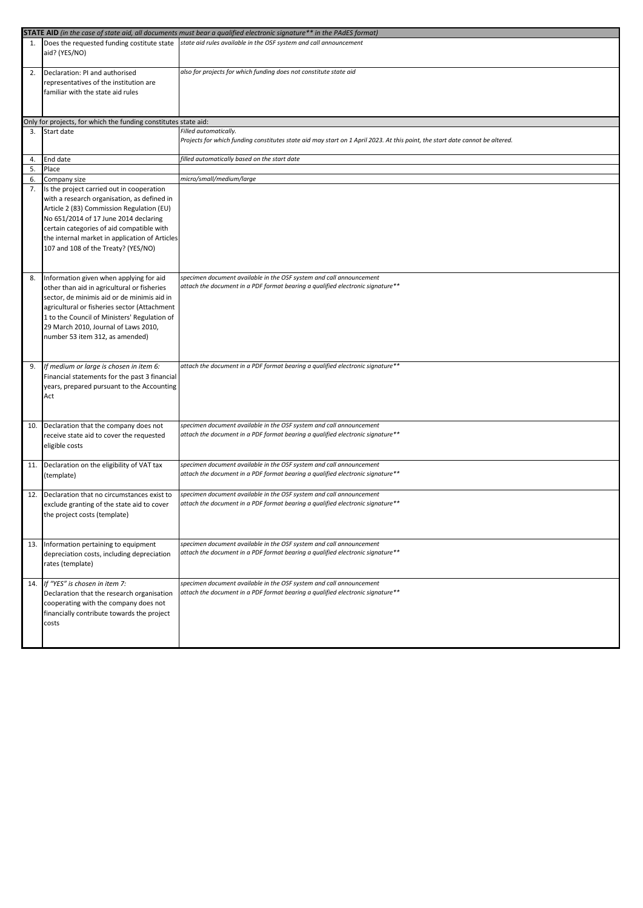|     |                                                                                                                                                                                                                                                                                                                      | <b>STATE AID</b> (in the case of state aid, all documents must bear a qualified electronic signature** in the PAdES format)                           |  |  |
|-----|----------------------------------------------------------------------------------------------------------------------------------------------------------------------------------------------------------------------------------------------------------------------------------------------------------------------|-------------------------------------------------------------------------------------------------------------------------------------------------------|--|--|
| 1.  | aid? (YES/NO)                                                                                                                                                                                                                                                                                                        | Does the requested funding costitute state state aid rules available in the OSF system and call announcement                                          |  |  |
| 2.  | Declaration: PI and authorised<br>representatives of the institution are<br>familiar with the state aid rules                                                                                                                                                                                                        | also for projects for which funding does not constitute state aid                                                                                     |  |  |
|     | Only for projects, for which the funding constitutes state aid:                                                                                                                                                                                                                                                      |                                                                                                                                                       |  |  |
| 3.  | Start date                                                                                                                                                                                                                                                                                                           | Filled automatically.<br>Projects for which funding constitutes state aid may start on 1 April 2023. At this point, the start date cannot be altered. |  |  |
| 4.  | End date                                                                                                                                                                                                                                                                                                             | filled automatically based on the start date                                                                                                          |  |  |
| 5.  | Place                                                                                                                                                                                                                                                                                                                |                                                                                                                                                       |  |  |
| 6.  | Company size                                                                                                                                                                                                                                                                                                         | micro/small/medium/large                                                                                                                              |  |  |
| 7.  | Is the project carried out in cooperation<br>with a research organisation, as defined in<br>Article 2 (83) Commission Regulation (EU)<br>No 651/2014 of 17 June 2014 declaring<br>certain categories of aid compatible with<br>the internal market in application of Articles<br>107 and 108 of the Treaty? (YES/NO) |                                                                                                                                                       |  |  |
| 8.  | Information given when applying for aid<br>other than aid in agricultural or fisheries<br>sector, de minimis aid or de minimis aid in<br>agricultural or fisheries sector (Attachment<br>1 to the Council of Ministers' Regulation of<br>29 March 2010, Journal of Laws 2010,<br>number 53 item 312, as amended)     | specimen document available in the OSF system and call announcement<br>attach the document in a PDF format bearing a qualified electronic signature** |  |  |
| 9.  | If medium or large is chosen in item 6:<br>Financial statements for the past 3 financial<br>years, prepared pursuant to the Accounting<br>Act                                                                                                                                                                        | attach the document in a PDF format bearing a qualified electronic signature**                                                                        |  |  |
| 10. | Declaration that the company does not<br>receive state aid to cover the requested<br>eligible costs                                                                                                                                                                                                                  | specimen document available in the OSF system and call announcement<br>attach the document in a PDF format bearing a qualified electronic signature** |  |  |
| 11. | Declaration on the eligibility of VAT tax<br>(template)                                                                                                                                                                                                                                                              | specimen document available in the OSF system and call announcement<br>attach the document in a PDF format bearing a qualified electronic signature** |  |  |
| 12. | Declaration that no circumstances exist to<br>exclude granting of the state aid to cover<br>the project costs (template)                                                                                                                                                                                             | specimen document available in the OSF system and call announcement<br>attach the document in a PDF format bearing a qualified electronic signature** |  |  |
| 13. | Information pertaining to equipment<br>depreciation costs, including depreciation<br>rates (template)                                                                                                                                                                                                                | specimen document available in the OSF system and call announcement<br>attach the document in a PDF format bearing a qualified electronic signature** |  |  |
| 14. | If "YES" is chosen in item 7:<br>Declaration that the research organisation<br>cooperating with the company does not<br>financially contribute towards the project<br>costs                                                                                                                                          | specimen document available in the OSF system and call announcement<br>attach the document in a PDF format bearing a qualified electronic signature** |  |  |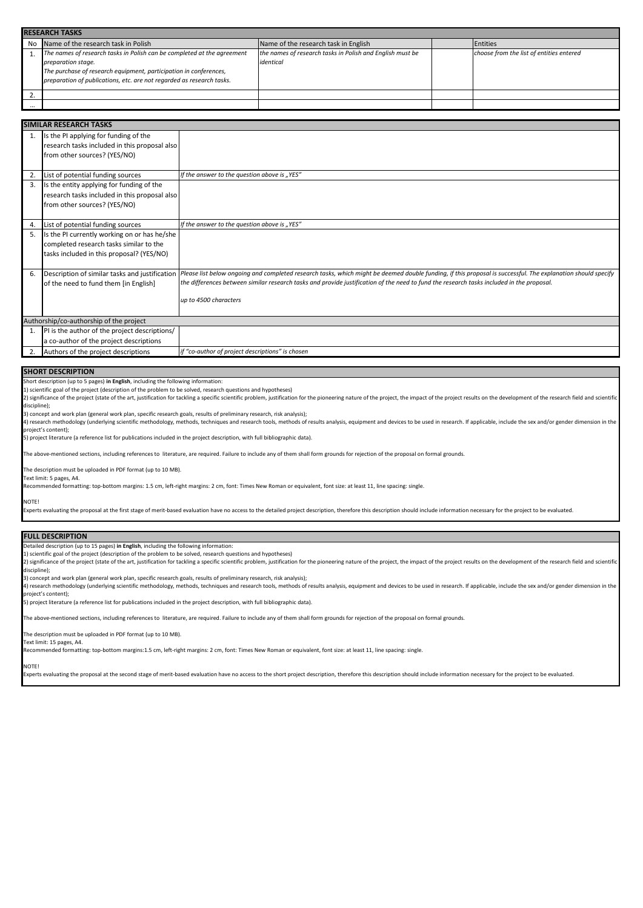|    | <b>RESEARCH TASKS</b>                                                                                                                                                                                                                       |                                                                        |  |                                          |  |
|----|---------------------------------------------------------------------------------------------------------------------------------------------------------------------------------------------------------------------------------------------|------------------------------------------------------------------------|--|------------------------------------------|--|
| No | Name of the research task in Polish                                                                                                                                                                                                         | Name of the research task in English                                   |  | <b>Entities</b>                          |  |
|    | The names of research tasks in Polish can be completed at the agreement<br>preparation stage.<br>The purchase of research equipment, participation in conferences,<br>preparation of publications, etc. are not regarded as research tasks. | the names of research tasks in Polish and English must be<br>identical |  | choose from the list of entities entered |  |
|    |                                                                                                                                                                                                                                             |                                                                        |  |                                          |  |
|    |                                                                                                                                                                                                                                             |                                                                        |  |                                          |  |

|    | <b>SIMILAR RESEARCH TASKS</b>                  |                                                                                                                                                              |  |  |  |
|----|------------------------------------------------|--------------------------------------------------------------------------------------------------------------------------------------------------------------|--|--|--|
|    |                                                |                                                                                                                                                              |  |  |  |
| 1. | Is the PI applying for funding of the          |                                                                                                                                                              |  |  |  |
|    | research tasks included in this proposal also  |                                                                                                                                                              |  |  |  |
|    | from other sources? (YES/NO)                   |                                                                                                                                                              |  |  |  |
|    |                                                |                                                                                                                                                              |  |  |  |
| 2. | List of potential funding sources              | If the answer to the question above is "YES"                                                                                                                 |  |  |  |
| 3. | Is the entity applying for funding of the      |                                                                                                                                                              |  |  |  |
|    | research tasks included in this proposal also  |                                                                                                                                                              |  |  |  |
|    | from other sources? (YES/NO)                   |                                                                                                                                                              |  |  |  |
|    |                                                |                                                                                                                                                              |  |  |  |
| 4. | List of potential funding sources              | If the answer to the question above is "YES"                                                                                                                 |  |  |  |
| 5. | Is the PI currently working on or has he/she   |                                                                                                                                                              |  |  |  |
|    | completed research tasks similar to the        |                                                                                                                                                              |  |  |  |
|    | tasks included in this proposal? (YES/NO)      |                                                                                                                                                              |  |  |  |
|    |                                                |                                                                                                                                                              |  |  |  |
| 6. | Description of similar tasks and justification | Please list below ongoing and completed research tasks, which might be deemed double funding, if this proposal is successful. The explanation should specify |  |  |  |
|    | of the need to fund them [in English]          | the differences between similar research tasks and provide justification of the need to fund the research tasks included in the proposal.                    |  |  |  |
|    |                                                |                                                                                                                                                              |  |  |  |
|    |                                                | up to 4500 characters                                                                                                                                        |  |  |  |
|    |                                                |                                                                                                                                                              |  |  |  |
|    | Authorship/co-authorship of the project        |                                                                                                                                                              |  |  |  |
| 1. | PI is the author of the project descriptions/  |                                                                                                                                                              |  |  |  |
|    | a co-author of the project descriptions        |                                                                                                                                                              |  |  |  |
| 2. | Authors of the project descriptions            | if "co-author of project descriptions" is chosen                                                                                                             |  |  |  |

## **SHORT DESCRIPTION**

Short description (up to 5 pages) **in English**, including the following information:

1) scientific goal of the project (description of the problem to be solved, research questions and hypotheses)

2) significance of the project (state of the art, justification for tackling a specific scientific problem, justification for the pioneering nature of the project, the impact of the project results on the development of th discipline);

3) concept and work plan (general work plan, specific research goals, results of preliminary research, risk analysis);<br>4) research methodology (underlying scientific methodology, methods, techniques and research tools, met project's content);

5) project literature (a reference list for publications included in the project description, with full bibliographic data).

The above-mentioned sections, including references to literature, are required. Failure to include any of them shall form grounds for rejection of the proposal on formal grounds.

The description must be uploaded in PDF format (up to 10 MB).

Text limit: 5 pages, A4.

Recommended formatting: top-bottom margins: 1.5 cm, left-right margins: 2 cm, font: Times New Roman or equivalent, font size: at least 11, line spacing: single.

## NOTE!

Experts evaluating the proposal at the first stage of merit-based evaluation have no access to the detailed project description, therefore this description should include information necessary for the project to be evaluat

# **FULL DESCRIPTION**

Detailed description (up to 15 pages) **in English**, including the following information:

1) scientific goal of the project (description of the problem to be solved, research questions and hypotheses)

2) significance of the project (state of the art, justification for tackling a specific scientific problem, justification for the pioneering nature of the project, the impact of the project results on the development of th discipline);

3) concept and work plan (general work plan, specific research goals, results of preliminary research, risk analysis);

4) research methodology (underlying scientific methodology, methods, techniques and research tools, methods of results analysis, equipment and devices to be used in research. If applicable, include the sex and/or gender di project's content);

.<br>5) project literature (a reference list for publications included in the project description, with full bibliographic data).

The above-mentioned sections, including references to literature, are required. Failure to include any of them shall form grounds for rejection of the proposal on formal grounds.

The description must be uploaded in PDF format (up to 10 MB).

Text limit: 15 pages, A4.

Recommended formatting: top-bottom margins:1.5 cm, left-right margins: 2 cm, font: Times New Roman or equivalent, font size: at least 11, line spacing: single.

## NOTE!

Experts evaluating the proposal at the second stage of merit-based evaluation have no access to the short project description, therefore this description should include information necessary for the project to be evaluated.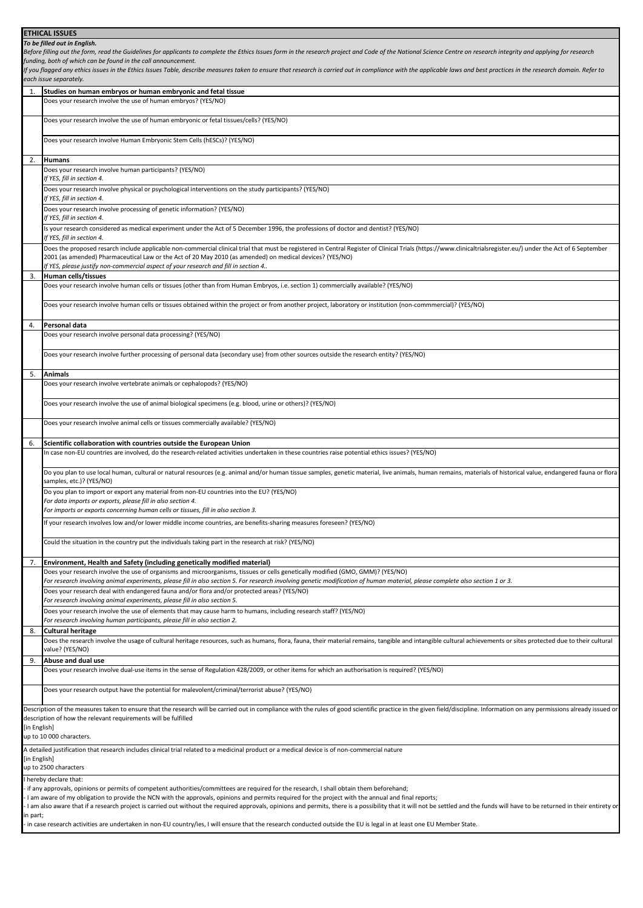|              | <b>ETHICAL ISSUES</b>                                                                                                                                                                                                         |  |  |  |
|--------------|-------------------------------------------------------------------------------------------------------------------------------------------------------------------------------------------------------------------------------|--|--|--|
|              | To be filled out in English.                                                                                                                                                                                                  |  |  |  |
|              | Before filling out the form, read the Guidelines for applicants to complete the Ethics Issues form in the research project and Code of the National Science Centre on research integrity and applying for research            |  |  |  |
|              | funding, both of which can be found in the call announcement.                                                                                                                                                                 |  |  |  |
|              | If you flagged any ethics issues in the Ethics Issues Table, describe measures taken to ensure that research is carried out in compliance with the applicable laws and best practices in the research domain. Refer to        |  |  |  |
|              | each issue separately.                                                                                                                                                                                                        |  |  |  |
| 1.           | Studies on human embryos or human embryonic and fetal tissue                                                                                                                                                                  |  |  |  |
|              | Does your research involve the use of human embryos? (YES/NO)                                                                                                                                                                 |  |  |  |
|              |                                                                                                                                                                                                                               |  |  |  |
|              |                                                                                                                                                                                                                               |  |  |  |
|              | Does your research involve the use of human embryonic or fetal tissues/cells? (YES/NO)                                                                                                                                        |  |  |  |
|              |                                                                                                                                                                                                                               |  |  |  |
|              | Does your research involve Human Embryonic Stem Cells (hESCs)? (YES/NO)                                                                                                                                                       |  |  |  |
|              |                                                                                                                                                                                                                               |  |  |  |
| 2.           | <b>Humans</b>                                                                                                                                                                                                                 |  |  |  |
|              | Does your research involve human participants? (YES/NO)                                                                                                                                                                       |  |  |  |
|              | If YES, fill in section 4.                                                                                                                                                                                                    |  |  |  |
|              |                                                                                                                                                                                                                               |  |  |  |
|              | Does your research involve physical or psychological interventions on the study participants? (YES/NO)<br>If YES, fill in section 4.                                                                                          |  |  |  |
|              |                                                                                                                                                                                                                               |  |  |  |
|              | Does your research involve processing of genetic information? (YES/NO)                                                                                                                                                        |  |  |  |
|              | If YES, fill in section 4.                                                                                                                                                                                                    |  |  |  |
|              | Is your research considered as medical experiment under the Act of 5 December 1996, the professions of doctor and dentist? (YES/NO)                                                                                           |  |  |  |
|              | If YES, fill in section 4.                                                                                                                                                                                                    |  |  |  |
|              | Does the proposed resarch include applicable non-commercial clinical trial that must be registered in Central Register of Clinical Trials (https://www.clinicaltrialsregister.eu/) under the Act of 6 September               |  |  |  |
|              | 2001 (as amended) Pharmaceutical Law or the Act of 20 May 2010 (as amended) on medical devices? (YES/NO)                                                                                                                      |  |  |  |
|              | If YES, please justify non-commercial aspect of your research and fill in section 4                                                                                                                                           |  |  |  |
| 3.           | Human cells/tissues                                                                                                                                                                                                           |  |  |  |
|              | Does your research involve human cells or tissues (other than from Human Embryos, i.e. section 1) commercially available? (YES/NO)                                                                                            |  |  |  |
|              |                                                                                                                                                                                                                               |  |  |  |
|              | Does your research involve human cells or tissues obtained within the project or from another project, laboratory or institution (non-commmercial)? (YES/NO)                                                                  |  |  |  |
|              |                                                                                                                                                                                                                               |  |  |  |
| 4.           | Personal data                                                                                                                                                                                                                 |  |  |  |
|              | Does your research involve personal data processing? (YES/NO)                                                                                                                                                                 |  |  |  |
|              |                                                                                                                                                                                                                               |  |  |  |
|              |                                                                                                                                                                                                                               |  |  |  |
|              | Does your research involve further processing of personal data (secondary use) from other sources outside the research entity? (YES/NO)                                                                                       |  |  |  |
|              |                                                                                                                                                                                                                               |  |  |  |
| 5.           | <b>Animals</b>                                                                                                                                                                                                                |  |  |  |
|              | Does your research involve vertebrate animals or cephalopods? (YES/NO)                                                                                                                                                        |  |  |  |
|              |                                                                                                                                                                                                                               |  |  |  |
|              | Does your research involve the use of animal biological specimens (e.g. blood, urine or others)? (YES/NO)                                                                                                                     |  |  |  |
|              |                                                                                                                                                                                                                               |  |  |  |
|              | Does your research involve animal cells or tissues commercially available? (YES/NO)                                                                                                                                           |  |  |  |
|              |                                                                                                                                                                                                                               |  |  |  |
| 6.           | Scientific collaboration with countries outside the European Union                                                                                                                                                            |  |  |  |
|              | In case non-EU countries are involved, do the research-related activities undertaken in these countries raise potential ethics issues? (YES/NO)                                                                               |  |  |  |
|              |                                                                                                                                                                                                                               |  |  |  |
|              | Do you plan to use local human, cultural or natural resources (e.g. animal and/or human tissue samples, genetic material, live animals, human remains, materials of historical value, endangered fauna or flora               |  |  |  |
|              | samples, etc.)? (YES/NO)                                                                                                                                                                                                      |  |  |  |
|              |                                                                                                                                                                                                                               |  |  |  |
|              | Do you plan to import or export any material from non-EU countries into the EU? (YES/NO)<br>For data imports or exports, please fill in also section 4.                                                                       |  |  |  |
|              | For imports or exports concerning human cells or tissues, fill in also section 3.                                                                                                                                             |  |  |  |
|              |                                                                                                                                                                                                                               |  |  |  |
|              | If your research involves low and/or lower middle income countries, are benefits-sharing measures foreseen? (YES/NO)                                                                                                          |  |  |  |
|              |                                                                                                                                                                                                                               |  |  |  |
|              | Could the situation in the country put the individuals taking part in the research at risk? (YES/NO)                                                                                                                          |  |  |  |
|              |                                                                                                                                                                                                                               |  |  |  |
| 7.           | Environment, Health and Safety (including genetically modified material)                                                                                                                                                      |  |  |  |
|              | Does your research involve the use of organisms and microorganisms, tissues or cells genetically modified (GMO, GMM)? (YES/NO)                                                                                                |  |  |  |
|              | For research involving animal experiments, please fill in also section 5. For research involving genetic modification of human material, please complete also section 1 or 3.                                                 |  |  |  |
|              | Does your research deal with endangered fauna and/or flora and/or protected areas? (YES/NO)                                                                                                                                   |  |  |  |
|              |                                                                                                                                                                                                                               |  |  |  |
|              | For research involving animal experiments, please fill in also section 5.                                                                                                                                                     |  |  |  |
|              | Does your research involve the use of elements that may cause harm to humans, including research staff? (YES/NO)                                                                                                              |  |  |  |
|              | For research involving human participants, please fill in also section 2.                                                                                                                                                     |  |  |  |
| 8.           | <b>Cultural heritage</b>                                                                                                                                                                                                      |  |  |  |
|              | Does the research involve the usage of cultural heritage resources, such as humans, flora, fauna, their material remains, tangible and intangible cultural achievements or sites protected due to their cultural              |  |  |  |
|              | value? (YES/NO)                                                                                                                                                                                                               |  |  |  |
| 9.           | Abuse and dual use                                                                                                                                                                                                            |  |  |  |
|              | Does your research involve dual-use items in the sense of Regulation 428/2009, or other items for which an authorisation is required? (YES/NO)                                                                                |  |  |  |
|              |                                                                                                                                                                                                                               |  |  |  |
|              | Does your research output have the potential for malevolent/criminal/terrorist abuse? (YES/NO)                                                                                                                                |  |  |  |
|              |                                                                                                                                                                                                                               |  |  |  |
|              | Description of the measures taken to ensure that the research will be carried out in compliance with the rules of good scientific practice in the given field/discipline. Information on any permissions already issued or    |  |  |  |
|              | description of how the relevant requirements will be fulfilled                                                                                                                                                                |  |  |  |
| [in English] |                                                                                                                                                                                                                               |  |  |  |
|              | up to 10 000 characters.                                                                                                                                                                                                      |  |  |  |
|              |                                                                                                                                                                                                                               |  |  |  |
|              | A detailed justification that research includes clinical trial related to a medicinal product or a medical device is of non-commercial nature                                                                                 |  |  |  |
|              | [in English]<br>up to 2500 characters                                                                                                                                                                                         |  |  |  |
|              |                                                                                                                                                                                                                               |  |  |  |
|              | I hereby declare that:                                                                                                                                                                                                        |  |  |  |
|              | - if any approvals, opinions or permits of competent authorities/committees are required for the research, I shall obtain them beforehand;                                                                                    |  |  |  |
|              | - I am aware of my obligation to provide the NCN with the approvals, opinions and permits required for the project with the annual and final reports;                                                                         |  |  |  |
|              | - I am also aware that if a research project is carried out without the required approvals, opinions and permits, there is a possibility that it will not be settled and the funds will have to be returned in their entirety |  |  |  |
| in part;     |                                                                                                                                                                                                                               |  |  |  |
|              | - in case research activities are undertaken in non-EU country/ies, I will ensure that the research conducted outside the EU is legal in at least one EU Member State.                                                        |  |  |  |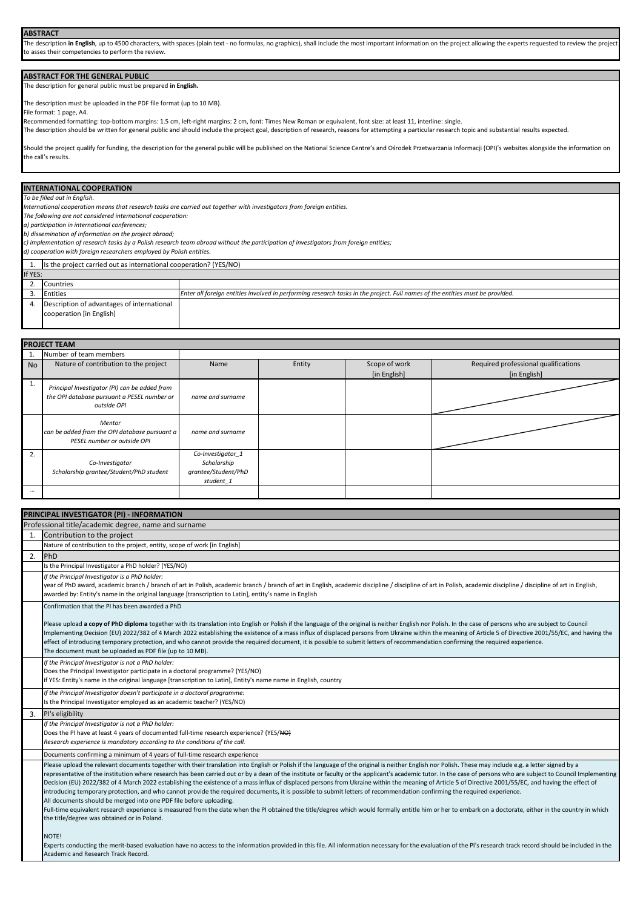The description in English, up to 4500 characters, with spaces (plain text - no formulas, no graphics), shall include the most important information on the project allowing the experts requested to review the project to asses their competencies to perform the review.

# **ABSTRACT FOR THE GENERAL PUBLIC**

The description for general public must be prepared **in English.** 

The description must be uploaded in the PDF file format (up to 10 MB).

File format: 1 page, A4.

Recommended formatting: top-bottom margins: 1.5 cm, left-right margins: 2 cm, font: Times New Roman or equivalent, font size: at least 11, interline: single.

The description should be written for general public and should include the project goal, description of research, reasons for attempting a particular research topic and substantial results expected.

Should the project qualify for funding, the description for the general public will be published on the National Science Centre's and Ośrodek Przetwarzania Informacji (OPI)'s websites alongside the information on the call's results.

## **INTERNATIONAL COOPERATION**

*To be filled out in English.*

*International cooperation means that research tasks are carried out together with investigators from foreign entities.* 

*The following are not considered international cooperation:* 

*a) participation in international conferences;* 

*b) dissemination of information on the project abroad;* 

*c) implementation of research tasks by a Polish research team abroad without the participation of investigators from foreign entities;* 

*d) cooperation with foreign researchers employed by Polish entities.*

|         | 1. Is the project carried out as international cooperation? (YES/NO)                                                                      |  |  |  |
|---------|-------------------------------------------------------------------------------------------------------------------------------------------|--|--|--|
| If YES: |                                                                                                                                           |  |  |  |
|         | Countries                                                                                                                                 |  |  |  |
|         | Enter all foreign entities involved in performing research tasks in the project. Full names of the entities must be provided.<br>Entities |  |  |  |
|         | Description of advantages of international                                                                                                |  |  |  |
|         | cooperation [in English]                                                                                                                  |  |  |  |
|         |                                                                                                                                           |  |  |  |

|           | <b>PROJECT TEAM</b>                                                                                         |                                                                      |        |                               |                                                      |  |
|-----------|-------------------------------------------------------------------------------------------------------------|----------------------------------------------------------------------|--------|-------------------------------|------------------------------------------------------|--|
| д,        | Number of team members                                                                                      |                                                                      |        |                               |                                                      |  |
| <b>No</b> | Nature of contribution to the project                                                                       | Name                                                                 | Entity | Scope of work<br>[in English] | Required professional qualifications<br>[in English] |  |
|           | Principal Investigator (PI) can be added from<br>the OPI database pursuant a PESEL number or<br>outside OPI | name and surname                                                     |        |                               |                                                      |  |
|           | Mentor<br>can be added from the OPI database pursuant a<br>PESEL number or outside OPI                      | name and surname                                                     |        |                               |                                                      |  |
| 2.        | Co-Investigator<br>Scholarship grantee/Student/PhD student                                                  | Co-Investigator 1<br>Scholarship<br>grantee/Student/PhD<br>student 1 |        |                               |                                                      |  |
| $\cdots$  |                                                                                                             |                                                                      |        |                               |                                                      |  |

|    | PRINCIPAL INVESTIGATOR (PI) - INFORMATION                                                                                                                                                                                                                                                                                                                                                     |  |  |
|----|-----------------------------------------------------------------------------------------------------------------------------------------------------------------------------------------------------------------------------------------------------------------------------------------------------------------------------------------------------------------------------------------------|--|--|
|    | Professional title/academic degree, name and surname                                                                                                                                                                                                                                                                                                                                          |  |  |
| 1. | Contribution to the project                                                                                                                                                                                                                                                                                                                                                                   |  |  |
|    | Nature of contribution to the project, entity, scope of work [in English]                                                                                                                                                                                                                                                                                                                     |  |  |
| 2. | PhD                                                                                                                                                                                                                                                                                                                                                                                           |  |  |
|    | Is the Principal Investigator a PhD holder? (YES/NO)                                                                                                                                                                                                                                                                                                                                          |  |  |
|    | If the Principal Investigator is a PhD holder:                                                                                                                                                                                                                                                                                                                                                |  |  |
|    | year of PhD award, academic branch / branch of art in Polish, academic branch / branch of art in English, academic discipline / discipline of art in Polish, academic discipline / discipline / discipline of art in English,                                                                                                                                                                 |  |  |
|    | awarded by: Entity's name in the original language [transcription to Latin], entity's name in English                                                                                                                                                                                                                                                                                         |  |  |
|    | Confirmation that the PI has been awarded a PhD                                                                                                                                                                                                                                                                                                                                               |  |  |
|    |                                                                                                                                                                                                                                                                                                                                                                                               |  |  |
|    | Please upload a copy of PhD diploma together with its translation into English or Polish if the language of the original is neither English nor Polish. In the case of persons who are subject to Council                                                                                                                                                                                     |  |  |
|    | Implementing Decision (EU) 2022/382 of 4 March 2022 establishing the existence of a mass influx of displaced persons from Ukraine within the meaning of Article 5 of Directive 2001/55/EC, and having the<br>effect of introducing temporary protection, and who cannot provide the required document, it is possible to submit letters of recommendation confirming the required experience. |  |  |
|    | The document must be uploaded as PDF file (up to 10 MB).                                                                                                                                                                                                                                                                                                                                      |  |  |
|    | If the Principal Investigator is not a PhD holder:                                                                                                                                                                                                                                                                                                                                            |  |  |
|    | Does the Principal Investigator participate in a doctoral programme? (YES/NO)                                                                                                                                                                                                                                                                                                                 |  |  |
|    | if YES: Entity's name in the original language [transcription to Latin], Entity's name name in English, country                                                                                                                                                                                                                                                                               |  |  |
|    | If the Principal Investigator doesn't participate in a doctoral programme:                                                                                                                                                                                                                                                                                                                    |  |  |
|    | Is the Principal Investigator employed as an academic teacher? (YES/NO)                                                                                                                                                                                                                                                                                                                       |  |  |
| 3. | PI's eligibility                                                                                                                                                                                                                                                                                                                                                                              |  |  |
|    | If the Principal Investigator is not a PhD holder:                                                                                                                                                                                                                                                                                                                                            |  |  |
|    | Does the PI have at least 4 years of documented full-time research experience? (YES/NO)                                                                                                                                                                                                                                                                                                       |  |  |
|    | Research experience is mandatory according to the conditions of the call.                                                                                                                                                                                                                                                                                                                     |  |  |
|    | Documents confirming a minimum of 4 years of full-time research experience                                                                                                                                                                                                                                                                                                                    |  |  |
|    | Please upload the relevant documents together with their translation into English or Polish if the language of the original is neither English nor Polish. These may include e.g. a letter signed by a                                                                                                                                                                                        |  |  |
|    | representative of the institution where research has been carried out or by a dean of the institute or faculty or the applicant's academic tutor. In the case of persons who are subject to Council Implementing                                                                                                                                                                              |  |  |
|    | Decision (EU) 2022/382 of 4 March 2022 establishing the existence of a mass influx of displaced persons from Ukraine within the meaning of Article 5 of Directive 2001/55/EC, and having the effect of                                                                                                                                                                                        |  |  |
|    | introducing temporary protection, and who cannot provide the required documents, it is possible to submit letters of recommendation confirming the required experience.                                                                                                                                                                                                                       |  |  |
|    | All documents should be merged into one PDF file before uploading.                                                                                                                                                                                                                                                                                                                            |  |  |
|    | Full-time equivalent research experience is measured from the date when the PI obtained the title/degree which would formally entitle him or her to embark on a doctorate, either in the country in which                                                                                                                                                                                     |  |  |
|    | the title/degree was obtained or in Poland.                                                                                                                                                                                                                                                                                                                                                   |  |  |
|    | NOTE!                                                                                                                                                                                                                                                                                                                                                                                         |  |  |
|    | a tafaannataa waxidad ta Abta fila. All tafaannataa waxaanaa faadka wakadda wafdka Bilaannaakanaakanaad akaakid ka taakidaa                                                                                                                                                                                                                                                                   |  |  |

Experts conducting the merit-based evaluation have no access to the information provided in this file. All information necessary for the evaluation of the PI's research track record should be included in the Academic and Research Track Record.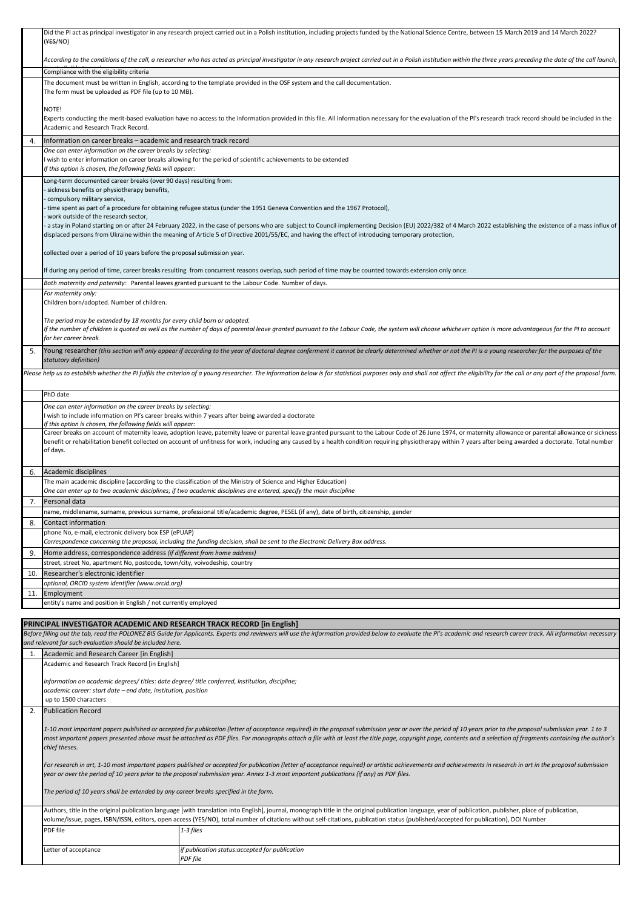|     | ( <del>YES</del> /NO)                                                                                                                                                                                                                                                                                                                                                                                                                           | Did the PI act as principal investigator in any research project carried out in a Polish institution, including projects funded by the National Science Centre, between 15 March 2019 and 14 March 2022?                                                                                                                                                                                                                                                                                       |  |  |
|-----|-------------------------------------------------------------------------------------------------------------------------------------------------------------------------------------------------------------------------------------------------------------------------------------------------------------------------------------------------------------------------------------------------------------------------------------------------|------------------------------------------------------------------------------------------------------------------------------------------------------------------------------------------------------------------------------------------------------------------------------------------------------------------------------------------------------------------------------------------------------------------------------------------------------------------------------------------------|--|--|
|     |                                                                                                                                                                                                                                                                                                                                                                                                                                                 |                                                                                                                                                                                                                                                                                                                                                                                                                                                                                                |  |  |
|     | Compliance with the eligibility criteria                                                                                                                                                                                                                                                                                                                                                                                                        | According to the conditions of the call, a researcher who has acted as principal investigator in any research project carried out in a Polish institution within the three years preceding the date of the call launch,                                                                                                                                                                                                                                                                        |  |  |
|     |                                                                                                                                                                                                                                                                                                                                                                                                                                                 | The document must be written in English, according to the template provided in the OSF system and the call documentation.                                                                                                                                                                                                                                                                                                                                                                      |  |  |
|     | The form must be uploaded as PDF file (up to 10 MB).                                                                                                                                                                                                                                                                                                                                                                                            |                                                                                                                                                                                                                                                                                                                                                                                                                                                                                                |  |  |
|     | NOTE!<br>Academic and Research Track Record.                                                                                                                                                                                                                                                                                                                                                                                                    | Experts conducting the merit-based evaluation have no access to the information provided in this file. All information necessary for the evaluation of the PI's research track record should be included in the                                                                                                                                                                                                                                                                                |  |  |
| 4.  | Information on career breaks – academic and research track record                                                                                                                                                                                                                                                                                                                                                                               |                                                                                                                                                                                                                                                                                                                                                                                                                                                                                                |  |  |
|     | One can enter information on the career breaks by selecting:<br>If this option is chosen, the following fields will appear:                                                                                                                                                                                                                                                                                                                     | I wish to enter information on career breaks allowing for the period of scientific achievements to be extended                                                                                                                                                                                                                                                                                                                                                                                 |  |  |
|     | Long-term documented career breaks (over 90 days) resulting from:<br>sickness benefits or physiotherapy benefits,<br>compulsory military service,<br>work outside of the research sector,<br>collected over a period of 10 years before the proposal submission year.                                                                                                                                                                           | time spent as part of a procedure for obtaining refugee status (under the 1951 Geneva Convention and the 1967 Protocol),<br>a stay in Poland starting on or after 24 February 2022, in the case of persons who are subject to Council implementing Decision (EU) 2022/382 of 4 March 2022 establishing the existence of a mass influx of<br>displaced persons from Ukraine within the meaning of Article 5 of Directive 2001/55/EC, and having the effect of introducing temporary protection, |  |  |
|     |                                                                                                                                                                                                                                                                                                                                                                                                                                                 | If during any period of time, career breaks resulting from concurrent reasons overlap, such period of time may be counted towards extension only once.                                                                                                                                                                                                                                                                                                                                         |  |  |
|     |                                                                                                                                                                                                                                                                                                                                                                                                                                                 | Both maternity and paternity: Parental leaves granted pursuant to the Labour Code. Number of days.                                                                                                                                                                                                                                                                                                                                                                                             |  |  |
|     | For maternity only:                                                                                                                                                                                                                                                                                                                                                                                                                             |                                                                                                                                                                                                                                                                                                                                                                                                                                                                                                |  |  |
|     | Children born/adopted. Number of children.                                                                                                                                                                                                                                                                                                                                                                                                      |                                                                                                                                                                                                                                                                                                                                                                                                                                                                                                |  |  |
|     | The period may be extended by 18 months for every child born or adopted.<br>for her career break.                                                                                                                                                                                                                                                                                                                                               | If the number of children is quoted as well as the number of days of parental leave granted pursuant to the Labour Code, the system will choose whichever option is more advantageous for the PI to account                                                                                                                                                                                                                                                                                    |  |  |
| 5.  |                                                                                                                                                                                                                                                                                                                                                                                                                                                 | Young researcher (this section will only appear if according to the year of doctoral degree conferment it cannot be clearly determined whether or not the PI is a young researcher for the purposes of the                                                                                                                                                                                                                                                                                     |  |  |
|     | statutory definition)                                                                                                                                                                                                                                                                                                                                                                                                                           | Please help us to establish whether the PI fulfils the criterion of a young researcher. The information below is for statistical purposes only and shall not affect the eligibility for the call or any part of the proposal f                                                                                                                                                                                                                                                                 |  |  |
|     |                                                                                                                                                                                                                                                                                                                                                                                                                                                 |                                                                                                                                                                                                                                                                                                                                                                                                                                                                                                |  |  |
|     | PhD date                                                                                                                                                                                                                                                                                                                                                                                                                                        |                                                                                                                                                                                                                                                                                                                                                                                                                                                                                                |  |  |
|     | One can enter information on the career breaks by selecting:                                                                                                                                                                                                                                                                                                                                                                                    | I wish to include information on PI's career breaks within 7 years after being awarded a doctorate                                                                                                                                                                                                                                                                                                                                                                                             |  |  |
|     | If this option is chosen, the following fields will appear:                                                                                                                                                                                                                                                                                                                                                                                     |                                                                                                                                                                                                                                                                                                                                                                                                                                                                                                |  |  |
|     | of days.                                                                                                                                                                                                                                                                                                                                                                                                                                        | Career breaks on account of maternity leave, adoption leave, paternity leave or parental leave granted pursuant to the Labour Code of 26 June 1974, or maternity allowance or parental allowance or sickness<br>benefit or rehabilitation benefit collected on account of unfitness for work, including any caused by a health condition requiring physiotherapy within 7 years after being awarded a doctorate. Total number                                                                  |  |  |
| 6.  | Academic disciplines                                                                                                                                                                                                                                                                                                                                                                                                                            |                                                                                                                                                                                                                                                                                                                                                                                                                                                                                                |  |  |
|     |                                                                                                                                                                                                                                                                                                                                                                                                                                                 | The main academic discipline (according to the classification of the Ministry of Science and Higher Education)<br>One can enter up to two academic disciplines; if two academic disciplines are entered, specify the main discipline                                                                                                                                                                                                                                                           |  |  |
| 7.  | Personal data                                                                                                                                                                                                                                                                                                                                                                                                                                   |                                                                                                                                                                                                                                                                                                                                                                                                                                                                                                |  |  |
|     |                                                                                                                                                                                                                                                                                                                                                                                                                                                 | name, middlename, surname, previous surname, professional title/academic degree, PESEL (if any), date of birth, citizenship, gender                                                                                                                                                                                                                                                                                                                                                            |  |  |
| 8.  | Contact information<br>phone No, e-mail, electronic delivery box ESP (ePUAP)                                                                                                                                                                                                                                                                                                                                                                    |                                                                                                                                                                                                                                                                                                                                                                                                                                                                                                |  |  |
|     |                                                                                                                                                                                                                                                                                                                                                                                                                                                 | Correspondence concerning the proposal, including the funding decision, shall be sent to the Electronic Delivery Box address.                                                                                                                                                                                                                                                                                                                                                                  |  |  |
| 9.  | Home address, correspondence address (if different from home address)                                                                                                                                                                                                                                                                                                                                                                           |                                                                                                                                                                                                                                                                                                                                                                                                                                                                                                |  |  |
| 10. | street, street No, apartment No, postcode, town/city, voivodeship, country<br>Researcher's electronic identifier                                                                                                                                                                                                                                                                                                                                |                                                                                                                                                                                                                                                                                                                                                                                                                                                                                                |  |  |
|     | optional, ORCID system identifier (www.orcid.org)                                                                                                                                                                                                                                                                                                                                                                                               |                                                                                                                                                                                                                                                                                                                                                                                                                                                                                                |  |  |
| 11. | Employment                                                                                                                                                                                                                                                                                                                                                                                                                                      |                                                                                                                                                                                                                                                                                                                                                                                                                                                                                                |  |  |
|     | entity's name and position in English / not currently employed                                                                                                                                                                                                                                                                                                                                                                                  |                                                                                                                                                                                                                                                                                                                                                                                                                                                                                                |  |  |
|     | PRINCIPAL INVESTIGATOR ACADEMIC AND RESEARCH TRACK RECORD [in English]                                                                                                                                                                                                                                                                                                                                                                          |                                                                                                                                                                                                                                                                                                                                                                                                                                                                                                |  |  |
|     |                                                                                                                                                                                                                                                                                                                                                                                                                                                 | Before filling out the tab, read the POLONEZ BIS Guide for Applicants. Experts and reviewers will use the information provided below to evaluate the PI's academic and research career track. All information necessary                                                                                                                                                                                                                                                                        |  |  |
| 1.  | and relevant for such evaluation should be included here.<br>Academic and Research Career [in English]                                                                                                                                                                                                                                                                                                                                          |                                                                                                                                                                                                                                                                                                                                                                                                                                                                                                |  |  |
|     | Academic and Research Track Record [in English]                                                                                                                                                                                                                                                                                                                                                                                                 |                                                                                                                                                                                                                                                                                                                                                                                                                                                                                                |  |  |
|     | information on academic degrees/ titles: date degree/ title conferred, institution, discipline;<br>academic career: start date – end date, institution, position<br>up to 1500 characters                                                                                                                                                                                                                                                       |                                                                                                                                                                                                                                                                                                                                                                                                                                                                                                |  |  |
| 2.  | <b>Publication Record</b>                                                                                                                                                                                                                                                                                                                                                                                                                       |                                                                                                                                                                                                                                                                                                                                                                                                                                                                                                |  |  |
|     | 1-10 most important papers published or accepted for publication (letter of acceptance required) in the proposal submission year or over the period of 10 years prior to the proposal submission year. 1 to 3<br>most important papers presented above must be attached as PDF files. For monographs attach a file with at least the title page, copyright page, contents and a selection of fragments containing the author's<br>chief theses. |                                                                                                                                                                                                                                                                                                                                                                                                                                                                                                |  |  |
|     | For research in art, 1-10 most important papers published or accepted for publication (letter of acceptance required) or artistic achievements and achievements in research in art in the proposal submission<br>year or over the period of 10 years prior to the proposal submission year. Annex 1-3 most important publications (if any) as PDF files.                                                                                        |                                                                                                                                                                                                                                                                                                                                                                                                                                                                                                |  |  |
|     | The period of 10 years shall be extended by any career breaks specified in the form.                                                                                                                                                                                                                                                                                                                                                            |                                                                                                                                                                                                                                                                                                                                                                                                                                                                                                |  |  |
|     |                                                                                                                                                                                                                                                                                                                                                                                                                                                 | Authors, title in the original publication language [with translation into English], journal, monograph title in the original publication language, year of publication, publisher, place of publication,                                                                                                                                                                                                                                                                                      |  |  |
|     | PDF file                                                                                                                                                                                                                                                                                                                                                                                                                                        | volume/issue, pages, ISBN/ISSN, editors, open access (YES/NO), total number of citations without self-citations, publication status (published/accepted for publication), DOI Number<br>1-3 files                                                                                                                                                                                                                                                                                              |  |  |
|     |                                                                                                                                                                                                                                                                                                                                                                                                                                                 |                                                                                                                                                                                                                                                                                                                                                                                                                                                                                                |  |  |
|     | Letter of acceptance                                                                                                                                                                                                                                                                                                                                                                                                                            | if publication status: accepted for publication<br>PDF file                                                                                                                                                                                                                                                                                                                                                                                                                                    |  |  |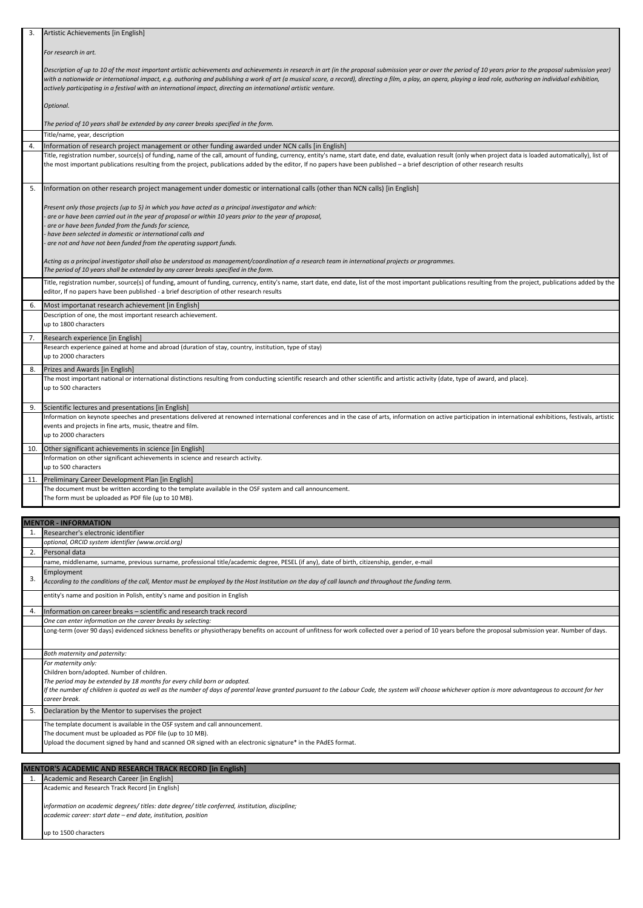|     | For research in art.                                                                                                                                                                                                                                                                                                                                                                                                                                                                                                                                  |
|-----|-------------------------------------------------------------------------------------------------------------------------------------------------------------------------------------------------------------------------------------------------------------------------------------------------------------------------------------------------------------------------------------------------------------------------------------------------------------------------------------------------------------------------------------------------------|
|     | Description of up to 10 of the most important artistic achievements and achievements in research in art (in the proposal submission year or over the period of 10 years prior to the proposal submission year)<br>with a nationwide or international impact, e.g. authoring and publishing a work of art (a musical score, a record), directing a film, a play, an opera, playing a lead role, authoring an individual exhibition,<br>actively participating in a festival with an international impact, directing an international artistic venture. |
|     | Optional.                                                                                                                                                                                                                                                                                                                                                                                                                                                                                                                                             |
|     | The period of 10 years shall be extended by any career breaks specified in the form.                                                                                                                                                                                                                                                                                                                                                                                                                                                                  |
|     | Title/name, year, description                                                                                                                                                                                                                                                                                                                                                                                                                                                                                                                         |
| 4.  | Information of research project management or other funding awarded under NCN calls [in English]<br>Title, registration number, source(s) of funding, name of the call, amount of funding, currency, entity's name, start date, end date, evaluation result (only when project data is loaded automatically), list of                                                                                                                                                                                                                                 |
|     | the most important publications resulting from the project, publications added by the editor, If no papers have been published - a brief description of other research results                                                                                                                                                                                                                                                                                                                                                                        |
| 5.  | Information on other research project management under domestic or international calls (other than NCN calls) [in English]                                                                                                                                                                                                                                                                                                                                                                                                                            |
|     | Present only those projects (up to 5) in which you have acted as a principal investigator and which:                                                                                                                                                                                                                                                                                                                                                                                                                                                  |
|     | are or have been carried out in the year of proposal or within 10 years prior to the year of proposal,<br>are or have been funded from the funds for science,                                                                                                                                                                                                                                                                                                                                                                                         |
|     | have been selected in domestic or international calls and                                                                                                                                                                                                                                                                                                                                                                                                                                                                                             |
|     | are not and have not been funded from the operating support funds.                                                                                                                                                                                                                                                                                                                                                                                                                                                                                    |
|     | Acting as a principal investigator shall also be understood as management/coordination of a research team in international projects or programmes.<br>The period of 10 years shall be extended by any career breaks specified in the form.                                                                                                                                                                                                                                                                                                            |
|     | Title, registration number, source(s) of funding, amount of funding, currency, entity's name, start date, end date, list of the most important publications resulting from the project, publications added by the<br>editor, If no papers have been published - a brief description of other research results                                                                                                                                                                                                                                         |
| 6.  | Most importanat research achievement [in English]                                                                                                                                                                                                                                                                                                                                                                                                                                                                                                     |
|     | Description of one, the most important research achievement.<br>up to 1800 characters                                                                                                                                                                                                                                                                                                                                                                                                                                                                 |
| 7.  | Research experience [in English]                                                                                                                                                                                                                                                                                                                                                                                                                                                                                                                      |
|     | Research experience gained at home and abroad (duration of stay, country, institution, type of stay)<br>up to 2000 characters                                                                                                                                                                                                                                                                                                                                                                                                                         |
| 8.  | Prizes and Awards [in English]                                                                                                                                                                                                                                                                                                                                                                                                                                                                                                                        |
|     | The most important national or international distinctions resulting from conducting scientific research and other scientific and artistic activity (date, type of award, and place).<br>up to 500 characters                                                                                                                                                                                                                                                                                                                                          |
| 9.  | Scientific lectures and presentations [in English]                                                                                                                                                                                                                                                                                                                                                                                                                                                                                                    |
|     | Information on keynote speeches and presentations delivered at renowned international conferences and in the case of arts, information on active participation in international exhibitions, festivals, artistic<br>events and projects in fine arts, music, theatre and film.                                                                                                                                                                                                                                                                        |
|     | up to 2000 characters                                                                                                                                                                                                                                                                                                                                                                                                                                                                                                                                 |
| 10. | Other significant achievements in science [in English]                                                                                                                                                                                                                                                                                                                                                                                                                                                                                                |
|     | Information on other significant achievements in science and research activity.<br>up to 500 characters                                                                                                                                                                                                                                                                                                                                                                                                                                               |
| 11. | Preliminary Career Development Plan [in English]<br>The document must be written according to the template available in the OSF system and call announcement.                                                                                                                                                                                                                                                                                                                                                                                         |
|     | The form must be uploaded as PDF file (up to 10 MB).                                                                                                                                                                                                                                                                                                                                                                                                                                                                                                  |
|     |                                                                                                                                                                                                                                                                                                                                                                                                                                                                                                                                                       |
| 1.  | <b>MENTOR - INFORMATION</b><br>Researcher's electronic identifier                                                                                                                                                                                                                                                                                                                                                                                                                                                                                     |
|     | optional, ORCID system identifier (www.orcid.org)                                                                                                                                                                                                                                                                                                                                                                                                                                                                                                     |
| 2.  | Personal data<br>name, middlename, surname, previous surname, professional title/academic degree, PESEL (if any), date of birth, citizenship, gender, e-mail                                                                                                                                                                                                                                                                                                                                                                                          |
| 3.  | Employment<br>According to the conditions of the call, Mentor must be employed by the Host Institution on the day of call launch and throughout the funding term.                                                                                                                                                                                                                                                                                                                                                                                     |
|     | entity's name and position in Polish, entity's name and position in English                                                                                                                                                                                                                                                                                                                                                                                                                                                                           |
| 4.  | Information on career breaks - scientific and research track record                                                                                                                                                                                                                                                                                                                                                                                                                                                                                   |
|     | One can enter information on the career breaks by selecting:                                                                                                                                                                                                                                                                                                                                                                                                                                                                                          |
|     | Long-term (over 90 days) evidenced sickness benefits or physiotherapy benefits on account of unfitness for work collected over a period of 10 years before the proposal submission year. Number of days.                                                                                                                                                                                                                                                                                                                                              |
|     | Both maternity and paternity:                                                                                                                                                                                                                                                                                                                                                                                                                                                                                                                         |
|     | For maternity only:<br>Children born/adopted. Number of children.                                                                                                                                                                                                                                                                                                                                                                                                                                                                                     |
|     | The period may be extended by 18 months for every child born or adopted.<br>If the number of children is quoted as well as the number of days of parental leave granted pursuant to the Labour Code, the system will choose whichever option is more advantageous to account for her<br>career break.                                                                                                                                                                                                                                                 |
| 5.  | Declaration by the Mentor to supervises the project                                                                                                                                                                                                                                                                                                                                                                                                                                                                                                   |
|     |                                                                                                                                                                                                                                                                                                                                                                                                                                                                                                                                                       |
|     | The template document is available in the OSF system and call announcement.                                                                                                                                                                                                                                                                                                                                                                                                                                                                           |
|     | The document must be uploaded as PDF file (up to 10 MB).<br>Upload the document signed by hand and scanned OR signed with an electronic signature* in the PAdES format.                                                                                                                                                                                                                                                                                                                                                                               |
|     |                                                                                                                                                                                                                                                                                                                                                                                                                                                                                                                                                       |
| 1.  | MENTOR'S ACADEMIC AND RESEARCH TRACK RECORD [in English]                                                                                                                                                                                                                                                                                                                                                                                                                                                                                              |
|     | Academic and Research Career [in English]<br>Academic and Research Track Record [in English]                                                                                                                                                                                                                                                                                                                                                                                                                                                          |
|     | information on academic degrees/ titles: date degree/ title conferred, institution, discipline;<br>academic career: start date - end date, institution, position                                                                                                                                                                                                                                                                                                                                                                                      |
|     | up to 1500 characters                                                                                                                                                                                                                                                                                                                                                                                                                                                                                                                                 |

3.

Artistic Achievements [in English]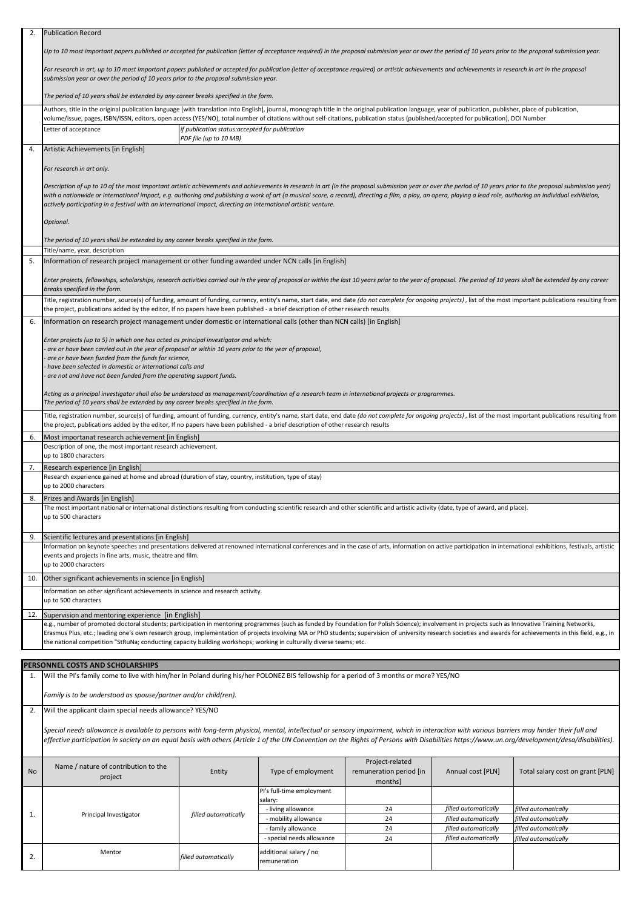| 2.  | <b>Publication Record</b>                                                                                                                                                                                                                                                                                                                                                                                                                                                                                                                             |                                                 |                                                 |                                    |                                              |                                              |
|-----|-------------------------------------------------------------------------------------------------------------------------------------------------------------------------------------------------------------------------------------------------------------------------------------------------------------------------------------------------------------------------------------------------------------------------------------------------------------------------------------------------------------------------------------------------------|-------------------------------------------------|-------------------------------------------------|------------------------------------|----------------------------------------------|----------------------------------------------|
|     | Up to 10 most important papers published or accepted for publication (letter of acceptance required) in the proposal submission year or over the period of 10 years prior to the proposal submission year.                                                                                                                                                                                                                                                                                                                                            |                                                 |                                                 |                                    |                                              |                                              |
|     | For research in art, up to 10 most important papers published or accepted for publication (letter of acceptance required) or artistic achievements and achievements in research in art in the proposal<br>submission year or over the period of 10 years prior to the proposal submission year.                                                                                                                                                                                                                                                       |                                                 |                                                 |                                    |                                              |                                              |
|     | The period of 10 years shall be extended by any career breaks specified in the form.                                                                                                                                                                                                                                                                                                                                                                                                                                                                  |                                                 |                                                 |                                    |                                              |                                              |
|     | Authors, title in the original publication language [with translation into English], journal, monograph title in the original publication language, year of publication, publisher, place of publication,                                                                                                                                                                                                                                                                                                                                             |                                                 |                                                 |                                    |                                              |                                              |
|     | volume/issue, pages, ISBN/ISSN, editors, open access (YES/NO), total number of citations without self-citations, publication status (published/accepted for publication), DOI Number<br>Letter of acceptance                                                                                                                                                                                                                                                                                                                                          | if publication status: accepted for publication |                                                 |                                    |                                              |                                              |
| 4.  |                                                                                                                                                                                                                                                                                                                                                                                                                                                                                                                                                       | PDF file (up to 10 MB)                          |                                                 |                                    |                                              |                                              |
|     | Artistic Achievements [in English]                                                                                                                                                                                                                                                                                                                                                                                                                                                                                                                    |                                                 |                                                 |                                    |                                              |                                              |
|     | For research in art only.                                                                                                                                                                                                                                                                                                                                                                                                                                                                                                                             |                                                 |                                                 |                                    |                                              |                                              |
|     | Description of up to 10 of the most important artistic achievements and achievements in research in art (in the proposal submission year or over the period of 10 years prior to the proposal submission year)<br>with a nationwide or international impact, e.g. authoring and publishing a work of art (a musical score, a record), directing a film, a play, an opera, playing a lead role, authoring an individual exhibition,<br>actively participating in a festival with an international impact, directing an international artistic venture. |                                                 |                                                 |                                    |                                              |                                              |
|     | Optional.                                                                                                                                                                                                                                                                                                                                                                                                                                                                                                                                             |                                                 |                                                 |                                    |                                              |                                              |
|     | The period of 10 years shall be extended by any career breaks specified in the form.                                                                                                                                                                                                                                                                                                                                                                                                                                                                  |                                                 |                                                 |                                    |                                              |                                              |
| 5.  | Title/name, year, description<br>Information of research project management or other funding awarded under NCN calls [in English]                                                                                                                                                                                                                                                                                                                                                                                                                     |                                                 |                                                 |                                    |                                              |                                              |
|     | Enter projects, fellowships, scholarships, research activities carried out in the year of proposal or within the last 10 years prior to the year of proposal. The period of 10 years shall be extended by any career<br>breaks specified in the form.                                                                                                                                                                                                                                                                                                 |                                                 |                                                 |                                    |                                              |                                              |
|     | Title, registration number, source(s) of funding, amount of funding, currency, entity's name, start date, end date (do not complete for ongoing projects), list of the most important publications resulting from<br>the project, publications added by the editor, If no papers have been published - a brief description of other research results                                                                                                                                                                                                  |                                                 |                                                 |                                    |                                              |                                              |
| 6.  | Information on research project management under domestic or international calls (other than NCN calls) [in English]                                                                                                                                                                                                                                                                                                                                                                                                                                  |                                                 |                                                 |                                    |                                              |                                              |
|     | Enter projects (up to 5) in which one has acted as principal investigator and which:<br>are or have been carried out in the year of proposal or within 10 years prior to the year of proposal, -                                                                                                                                                                                                                                                                                                                                                      |                                                 |                                                 |                                    |                                              |                                              |
|     | are or have been funded from the funds for science,<br>have been selected in domestic or international calls and                                                                                                                                                                                                                                                                                                                                                                                                                                      |                                                 |                                                 |                                    |                                              |                                              |
|     | are not and have not been funded from the operating support funds.                                                                                                                                                                                                                                                                                                                                                                                                                                                                                    |                                                 |                                                 |                                    |                                              |                                              |
|     | Acting as a principal investigator shall also be understood as management/coordination of a research team in international projects or programmes.<br>The period of 10 years shall be extended by any career breaks specified in the form.                                                                                                                                                                                                                                                                                                            |                                                 |                                                 |                                    |                                              |                                              |
|     | Title, registration number, source(s) of funding, amount of funding, currency, entity's name, start date, end date (do not complete for ongoing projects), list of the most important publications resulting from<br>the project, publications added by the editor, If no papers have been published - a brief description of other research results                                                                                                                                                                                                  |                                                 |                                                 |                                    |                                              |                                              |
| 6.  | Most importanat research achievement [in English]                                                                                                                                                                                                                                                                                                                                                                                                                                                                                                     |                                                 |                                                 |                                    |                                              |                                              |
|     | Description of one, the most important research achievement.<br>up to 1800 characters                                                                                                                                                                                                                                                                                                                                                                                                                                                                 |                                                 |                                                 |                                    |                                              |                                              |
| 7.  | Research experience [in English]                                                                                                                                                                                                                                                                                                                                                                                                                                                                                                                      |                                                 |                                                 |                                    |                                              |                                              |
|     | Research experience gained at home and abroad (duration of stay, country, institution, type of stay)<br>up to 2000 characters                                                                                                                                                                                                                                                                                                                                                                                                                         |                                                 |                                                 |                                    |                                              |                                              |
| 8.  | Prizes and Awards [in English]                                                                                                                                                                                                                                                                                                                                                                                                                                                                                                                        |                                                 |                                                 |                                    |                                              |                                              |
|     | The most important national or international distinctions resulting from conducting scientific research and other scientific and artistic activity (date, type of award, and place).<br>up to 500 characters                                                                                                                                                                                                                                                                                                                                          |                                                 |                                                 |                                    |                                              |                                              |
| 9.  | Scientific lectures and presentations [in English]<br>Information on keynote speeches and presentations delivered at renowned international conferences and in the case of arts, information on active participation in international exhibitions, festivals, artistic                                                                                                                                                                                                                                                                                |                                                 |                                                 |                                    |                                              |                                              |
|     | events and projects in fine arts, music, theatre and film.<br>up to 2000 characters                                                                                                                                                                                                                                                                                                                                                                                                                                                                   |                                                 |                                                 |                                    |                                              |                                              |
| 10. | Other significant achievements in science [in English]                                                                                                                                                                                                                                                                                                                                                                                                                                                                                                |                                                 |                                                 |                                    |                                              |                                              |
|     | Information on other significant achievements in science and research activity.<br>up to 500 characters                                                                                                                                                                                                                                                                                                                                                                                                                                               |                                                 |                                                 |                                    |                                              |                                              |
| 12. | Supervision and mentoring experience [in English]                                                                                                                                                                                                                                                                                                                                                                                                                                                                                                     |                                                 |                                                 |                                    |                                              |                                              |
|     | e.g., number of promoted doctoral students; participation in mentoring programmes (such as funded by Foundation for Polish Science); involvement in projects such as Innovative Training Networks,                                                                                                                                                                                                                                                                                                                                                    |                                                 |                                                 |                                    |                                              |                                              |
|     | Erasmus Plus, etc.; leading one's own research group, implementation of projects involving MA or PhD students; supervision of university research societies and awards for achievements in this field, e.g., in<br>the national competition "StRuNa; conducting capacity building workshops; working in culturally diverse teams; etc.                                                                                                                                                                                                                |                                                 |                                                 |                                    |                                              |                                              |
|     |                                                                                                                                                                                                                                                                                                                                                                                                                                                                                                                                                       |                                                 |                                                 |                                    |                                              |                                              |
| 1.  | PERSONNEL COSTS AND SCHOLARSHIPS<br>Will the PI's family come to live with him/her in Poland during his/her POLONEZ BIS fellowship for a period of 3 months or more? YES/NO                                                                                                                                                                                                                                                                                                                                                                           |                                                 |                                                 |                                    |                                              |                                              |
|     |                                                                                                                                                                                                                                                                                                                                                                                                                                                                                                                                                       |                                                 |                                                 |                                    |                                              |                                              |
|     | Family is to be understood as spouse/partner and/or child(ren).                                                                                                                                                                                                                                                                                                                                                                                                                                                                                       |                                                 |                                                 |                                    |                                              |                                              |
| 2.  | Will the applicant claim special needs allowance? YES/NO                                                                                                                                                                                                                                                                                                                                                                                                                                                                                              |                                                 |                                                 |                                    |                                              |                                              |
|     | Special needs allowance is available to persons with long-term physical, mental, intellectual or sensory impairment, which in interaction with various barriers may hinder their full and<br>effective participation in society on an equal basis with others (Article 1 of the UN Convention on the Rights of Persons with Disabilities https://www.un.org/development/desa/disabilities).                                                                                                                                                           |                                                 |                                                 |                                    |                                              |                                              |
|     |                                                                                                                                                                                                                                                                                                                                                                                                                                                                                                                                                       |                                                 |                                                 | Project-related                    |                                              |                                              |
| No  | Name / nature of contribution to the<br>project                                                                                                                                                                                                                                                                                                                                                                                                                                                                                                       | Entity                                          | Type of employment<br>PI's full-time employment | remuneration period [in<br>months] | Annual cost [PLN]                            | Total salary cost on grant [PLN]             |
|     |                                                                                                                                                                                                                                                                                                                                                                                                                                                                                                                                                       |                                                 | salary:                                         |                                    |                                              |                                              |
| 1.  | Principal Investigator                                                                                                                                                                                                                                                                                                                                                                                                                                                                                                                                | filled automatically                            | - living allowance<br>- mobility allowance      | 24<br>24                           | filled automatically<br>filled automatically | filled automatically<br>filled automatically |
|     |                                                                                                                                                                                                                                                                                                                                                                                                                                                                                                                                                       |                                                 | - family allowance                              | 24                                 | filled automatically                         | filled automatically                         |
|     |                                                                                                                                                                                                                                                                                                                                                                                                                                                                                                                                                       |                                                 | - special needs allowance                       | 24                                 | filled automatically                         | filled automatically                         |
| 2.  | Mentor                                                                                                                                                                                                                                                                                                                                                                                                                                                                                                                                                | filled automatically                            | additional salary / no<br>remuneration          |                                    |                                              |                                              |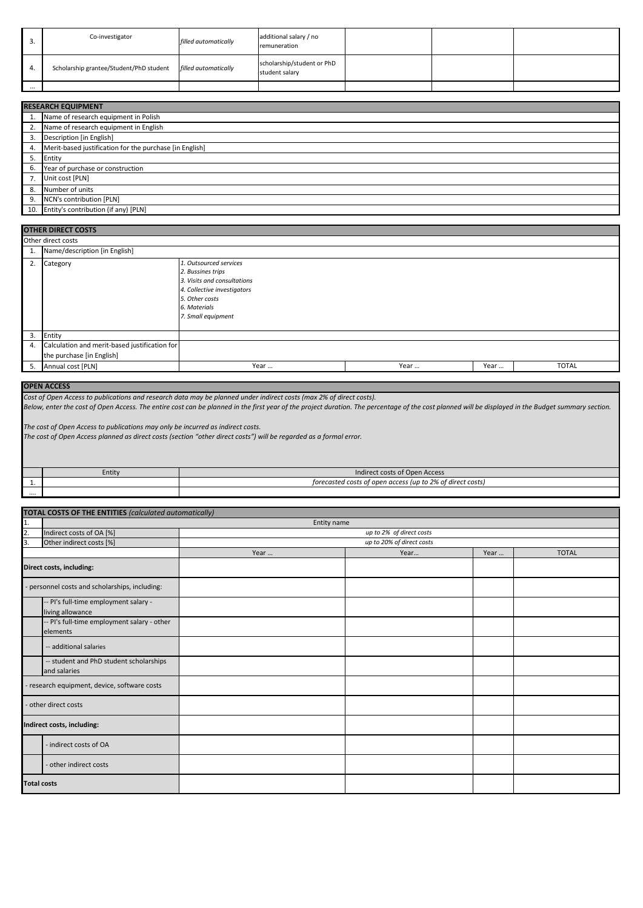| э.       | Co-investigator                         | filled automatically | additional salary / no<br>remuneration       |  |  |
|----------|-----------------------------------------|----------------------|----------------------------------------------|--|--|
| -4.      | Scholarship grantee/Student/PhD student | filled automatically | scholarship/student or PhD<br>student salary |  |  |
| $\cdots$ |                                         |                      |                                              |  |  |

|     | <b>RESEARCH EQUIPMENT</b>                               |  |  |
|-----|---------------------------------------------------------|--|--|
| -1. | Name of research equipment in Polish                    |  |  |
| 2.  | Name of research equipment in English                   |  |  |
| 3.  | Description [in English]                                |  |  |
| 4.  | Merit-based justification for the purchase [in English] |  |  |
| 5.  | Entity                                                  |  |  |
| 6.  | Year of purchase or construction                        |  |  |
| 7.  | Unit cost [PLN]                                         |  |  |
| 8.  | Number of units                                         |  |  |
| 9.  | NCN's contribution [PLN]                                |  |  |
| 10. | Entity's contribution (if any) [PLN]                    |  |  |

|    | <b>OTHER DIRECT COSTS</b>                     |                                                                                                                                                                   |      |      |              |  |
|----|-----------------------------------------------|-------------------------------------------------------------------------------------------------------------------------------------------------------------------|------|------|--------------|--|
|    | Other direct costs                            |                                                                                                                                                                   |      |      |              |  |
| 1. | Name/description [in English]                 |                                                                                                                                                                   |      |      |              |  |
| 2. | Category                                      | 1. Outsourced services<br>2. Bussines trips<br>3. Visits and consultations<br>4. Collective investigators<br>5. Other costs<br>6. Materials<br>7. Small equipment |      |      |              |  |
| 3. | Entity                                        |                                                                                                                                                                   |      |      |              |  |
| 4. | Calculation and merit-based justification for |                                                                                                                                                                   |      |      |              |  |
|    | the purchase [in English]                     |                                                                                                                                                                   |      |      |              |  |
| .5 | Annual cost [PLN]                             | Year                                                                                                                                                              | Year | Year | <b>TOTAL</b> |  |
|    |                                               |                                                                                                                                                                   |      |      |              |  |

# **OPEN ACCESS**

*Cost of Open Access to publications and research data may be planned under indirect costs (max 2% of direct costs).*

*Below, enter the cost of Open Access. The entire cost can be planned in the first year of the project duration. The percentage of the cost planned will be displayed in the Budget summary section.*

*The cost of Open Access to publications may only be incurred as indirect costs.*

*The cost of Open Access planned as direct costs (section "other direct costs") will be regarded as a formal error.*

|   | Entity | Indirect costs of Open Access                                               |
|---|--------|-----------------------------------------------------------------------------|
|   |        | $\sim$ $\sim$<br>forecasted costs of open access (up to 2% of direct costs) |
| . |        |                                                                             |

|                                            | <b>TOTAL COSTS OF THE ENTITIES (calculated automatically)</b> |             |                           |      |              |  |
|--------------------------------------------|---------------------------------------------------------------|-------------|---------------------------|------|--------------|--|
| 11.                                        |                                                               | Entity name |                           |      |              |  |
| $\overline{2}$ .                           | Indirect costs of OA [%]                                      |             | up to 2% of direct costs  |      |              |  |
| ١з.                                        | Other indirect costs [%]                                      |             | up to 20% of direct costs |      |              |  |
|                                            |                                                               | Year        | Year                      | Year | <b>TOTAL</b> |  |
|                                            | Direct costs, including:                                      |             |                           |      |              |  |
|                                            | personnel costs and scholarships, including:                  |             |                           |      |              |  |
|                                            | - PI's full-time employment salary -<br>living allowance      |             |                           |      |              |  |
|                                            | - PI's full-time employment salary - other<br>elements        |             |                           |      |              |  |
|                                            | -- additional salaries                                        |             |                           |      |              |  |
|                                            | -- student and PhD student scholarships<br>and salaries       |             |                           |      |              |  |
| research equipment, device, software costs |                                                               |             |                           |      |              |  |
|                                            | other direct costs                                            |             |                           |      |              |  |
|                                            | Indirect costs, including:                                    |             |                           |      |              |  |
|                                            | - indirect costs of OA                                        |             |                           |      |              |  |
|                                            | - other indirect costs                                        |             |                           |      |              |  |
| <b>Total costs</b>                         |                                                               |             |                           |      |              |  |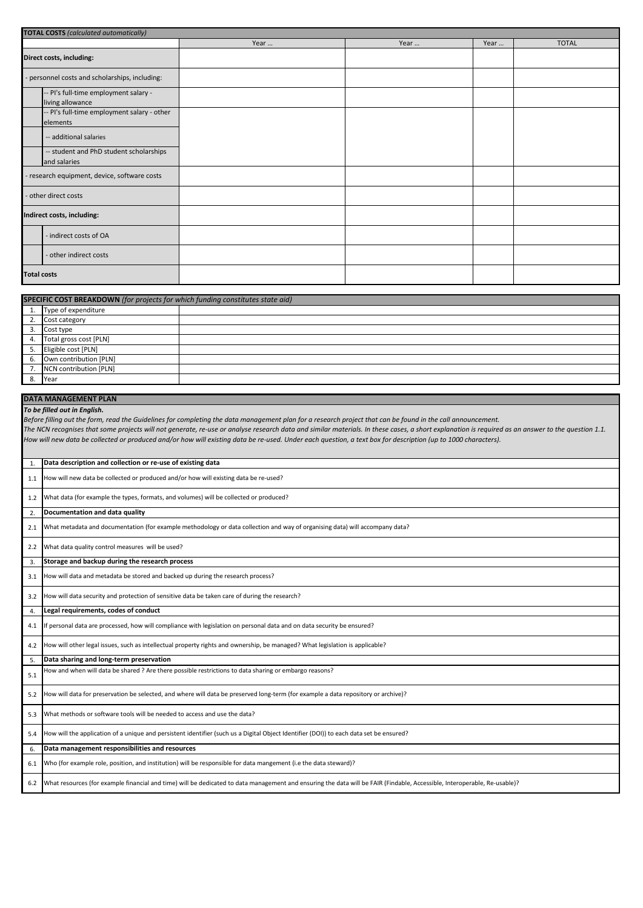|                                              | <b>TOTAL COSTS</b> (calculated automatically)             |      |      |      |              |  |
|----------------------------------------------|-----------------------------------------------------------|------|------|------|--------------|--|
|                                              |                                                           | Year | Year | Year | <b>TOTAL</b> |  |
|                                              | Direct costs, including:                                  |      |      |      |              |  |
|                                              | personnel costs and scholarships, including:              |      |      |      |              |  |
|                                              | -- PI's full-time employment salary -<br>living allowance |      |      |      |              |  |
|                                              | - PI's full-time employment salary - other<br>elements    |      |      |      |              |  |
|                                              | -- additional salaries                                    |      |      |      |              |  |
|                                              | -- student and PhD student scholarships<br>and salaries   |      |      |      |              |  |
| - research equipment, device, software costs |                                                           |      |      |      |              |  |
| other direct costs                           |                                                           |      |      |      |              |  |
|                                              | Indirect costs, including:                                |      |      |      |              |  |
|                                              | - indirect costs of OA                                    |      |      |      |              |  |
|                                              | - other indirect costs                                    |      |      |      |              |  |
| <b>Total costs</b>                           |                                                           |      |      |      |              |  |

|      | SPECIFIC COST BREAKDOWN (for projects for which funding constitutes state aid) |  |  |  |
|------|--------------------------------------------------------------------------------|--|--|--|
|      | Type of expenditure                                                            |  |  |  |
|      | Cost category                                                                  |  |  |  |
|      | Cost type                                                                      |  |  |  |
| -4.  | Total gross cost [PLN]                                                         |  |  |  |
| - 5. | Eligible cost [PLN]                                                            |  |  |  |
| 6.   | Own contribution [PLN]                                                         |  |  |  |
|      | NCN contribution [PLN]                                                         |  |  |  |
| 8.   | Year                                                                           |  |  |  |

# **DATA MANAGEMENT PLAN**

*To be filled out in English.* 

*Before filling out the form, read the Guidelines for completing the data management plan for a research project that can be found in the call announcement.* 

*The NCN recognises that some projects will not generate, re-use or analyse research data and similar materials. In these cases, a short explanation is required as an answer to the question 1.1. How will new data be collected or produced and/or how will existing data be re-used. Under each question, a text box for description (up to 1000 characters).* 

| $\mathbf{1}$ | Data description and collection or re-use of existing data                                                                                                                |  |  |  |
|--------------|---------------------------------------------------------------------------------------------------------------------------------------------------------------------------|--|--|--|
| 1.1          | How will new data be collected or produced and/or how will existing data be re-used?                                                                                      |  |  |  |
| 1.2          | What data (for example the types, formats, and volumes) will be collected or produced?                                                                                    |  |  |  |
| 2.           | Documentation and data quality                                                                                                                                            |  |  |  |
| 2.1          | What metadata and documentation (for example methodology or data collection and way of organising data) will accompany data?                                              |  |  |  |
| 2.2          | What data quality control measures will be used?                                                                                                                          |  |  |  |
| 3.           | Storage and backup during the research process                                                                                                                            |  |  |  |
| 3.1          | How will data and metadata be stored and backed up during the research process?                                                                                           |  |  |  |
| 3.2          | How will data security and protection of sensitive data be taken care of during the research?                                                                             |  |  |  |
| 4.           | Legal requirements, codes of conduct                                                                                                                                      |  |  |  |
| 4.1          | If personal data are processed, how will compliance with legislation on personal data and on data security be ensured?                                                    |  |  |  |
| 4.2          | How will other legal issues, such as intellectual property rights and ownership, be managed? What legislation is applicable?                                              |  |  |  |
| 5.           | Data sharing and long-term preservation                                                                                                                                   |  |  |  |
| 5.1          | How and when will data be shared ? Are there possible restrictions to data sharing or embargo reasons?                                                                    |  |  |  |
| 5.2          | How will data for preservation be selected, and where will data be preserved long-term (for example a data repository or archive)?                                        |  |  |  |
| 5.3          | What methods or software tools will be needed to access and use the data?                                                                                                 |  |  |  |
| 5.4          | How will the application of a unique and persistent identifier (such us a Digital Object Identifier (DOI)) to each data set be ensured?                                   |  |  |  |
| 6.           | Data management responsibilities and resources                                                                                                                            |  |  |  |
| 6.1          | Who (for example role, position, and institution) will be responsible for data mangement (i.e the data steward)?                                                          |  |  |  |
| 6.2          | What resources (for example financial and time) will be dedicated to data management and ensuring the data will be FAIR (Findable, Accessible, Interoperable, Re-usable)? |  |  |  |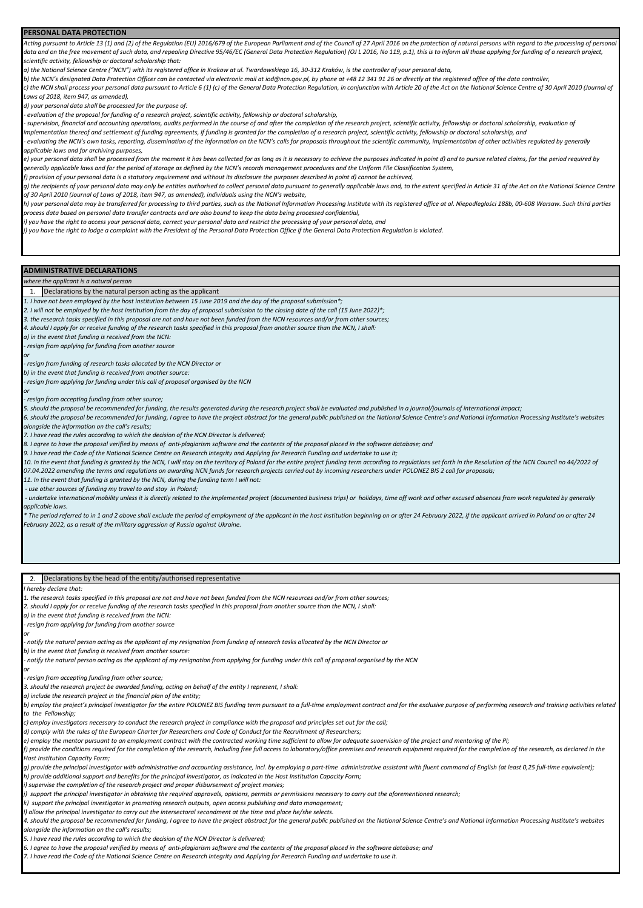#### **PERSONAL DATA PROTECTION**

*Acting pursuant to Article 13 (1) and (2) of the Regulation (EU) 2016/679 of the European Parliament and of the Council of 27 April 2016 on the protection of natural persons with regard to the processing of personal data and on the free movement of such data, and repealing Directive 95/46/EC (General Data Protection Regulation) (OJ L 2016, No 119, p.1), this is to inform all those applying for funding of a research project, scientific activity, fellowship or doctoral scholarship that:*

*a) the National Science Centre ("NCN") with its registered office in Krakow at ul. Twardowskiego 16, 30-312 Kraków, is the controller of your personal data,*

*b) the NCN's designated Data Protection Officer can be contacted via electronic mail at iod@ncn.gov.pl, by phone at +48 12 341 91 26 or directly at the registered office of the data controller,* c) the NCN shall process your personal data pursuant to Article 6 (1) (c) of the General Data Protection Regulation. in conjunction with Article 20 of the Act on the National Science Centre of 30 April 2010 (Journal of

*Laws of 2018, item 947, as amended),*

*d) your personal data shall be processed for the purpose of:*

*- evaluation of the proposal for funding of a research project, scientific activity, fellowship or doctoral scholarship,*

*- supervision, financial and accounting operations, audits performed in the course of and after the completion of the research project, scientific activity, fellowship or doctoral scholarship, evaluation of implementation thereof and settlement of funding agreements, if funding is granted for the completion of a research project, scientific activity, fellowship or doctoral scholarship, and* 

*- evaluating the NCN's own tasks, reporting, dissemination of the information on the NCN's calls for proposals throughout the scientific community, implementation of other activities regulated by generally applicable laws and for archiving purposes,*

*e) your personal data shall be processed from the moment it has been collected for as long as it is necessary to achieve the purposes indicated in point d) and to pursue related claims, for the period required by generally applicable laws and for the period of storage as defined by the NCN's records management procedures and the Uniform File Classification System,*

*f) provision of your personal data is a statutory requirement and without its disclosure the purposes described in point d) cannot be achieved,*

a) the recipients of your personal data may only be entities authorised to collect personal data pursuant to generally applicable laws and, to the extent specified in Article 31 of the Act on the National Science Centre *of 30 April 2010 (Journal of Laws of 2018, item 947, as amended), individuals using the NCN's website,*

*h) your personal data may be transferred for processing to third parties, such as the National Information Processing Institute with its registered office at al. Niepodległości 188b, 00-608 Warsaw. Such third parties process data based on personal data transfer contracts and are also bound to keep the data being processed confidential,*

*i) you have the right to access your personal data, correct your personal data and restrict the processing of your personal data, and*

*j) you have the right to lodge a complaint with the President of the Personal Data Protection Office if the General Data Protection Regulation is violated.*

## **ADMINISTRATIVE DECLARATIONS**

*where the applicant is a natural person*

#### 1. Declarations by the natural person acting as the applicant

*1. I have not been employed by the host institution between 15 June 2019 and the day of the proposal submission\*;*

*2. I will not be employed by the host institution from the day of proposal submission to the closing date of the call (15 June 2022)\*;*

*3. the research tasks specified in this proposal are not and have not been funded from the NCN resources and/or from other sources;* 

*4. should I apply for or receive funding of the research tasks specified in this proposal from another source than the NCN, I shall:* 

*a) in the event that funding is received from the NCN:*

*- resign from applying for funding from another source* 

*or* 

#### *- resign from funding of research tasks allocated by the NCN Director or*

*b) in the event that funding is received from another source:*

*- resign from applying for funding under this call of proposal organised by the NCN* 

*or* 

*- resign from accepting funding from other source;*

*5. should the proposal be recommended for funding, the results generated during the research project shall be evaluated and published in a journal/journals of international impact;*

*6. should the proposal be recommended for funding, I agree to have the project abstract for the general public published on the National Science Centre's and National Information Processing Institute's websites alongside the information on the call's results;*

*7. I have read the rules according to which the decision of the NCN Director is delivered;*

*8. I agree to have the proposal verified by means of anti-plagiarism software and the contents of the proposal placed in the software database; and*

*9. I have read the Code of the National Science Centre on Research Integrity and Applying for Research Funding and undertake to use it;*

*10. In the event that funding is granted by the NCN, I will stay on the territory of Poland for the entire project funding term according to regulations set forth in the Resolution of the NCN Council no 44/2022 of 07.04.2022 amending the terms and regulations on awarding NCN funds for research projects carried out by incoming researchers under POLONEZ BIS 2 call for proposals;*

*11. In the event that funding is granted by the NCN, during the funding term I will not:*

 *- use other sources of funding my travel to and stay in Poland;*

 *- undertake international mobility unless it is directly related to the implemented project (documented business trips) or holidays, time off work and other excused absences from work regulated by generally applicable laws.*

*\* The period referred to in 1 and 2 above shall exclude the period of employment of the applicant in the host institution beginning on or after 24 February 2022, if the applicant arrived in Poland on or after 24 February 2022, as a result of the military aggression of Russia against Ukraine.*

2. Declarations by the head of the entity/authorised representative

#### *I hereby declare that:*

*1. the research tasks specified in this proposal are not and have not been funded from the NCN resources and/or from other sources;* 

*2. should I apply for or receive funding of the research tasks specified in this proposal from another source than the NCN, I shall:* 

*a) in the event that funding is received from the NCN:*

*- resign from applying for funding from another source* 

*or* 

*- notify the natural person acting as the applicant of my resignation from funding of research tasks allocated by the NCN Director or*

*b) in the event that funding is received from another source:*

*- notify the natural person acting as the applicant of my resignation from applying for funding under this call of proposal organised by the NCN* 

*or* 

*- resign from accepting funding from other source;*

*3. should the research project be awarded funding, acting on behalf of the entity I represent, I shall:*

*a) include the research project in the financial plan of the entity;*

*b) employ the project's principal investigator for the entire POLONEZ BIS funding term pursuant to a full-time employment contract and for the exclusive purpose of performing research and training activities related to the Fellowship;*

*c) employ investigators necessary to conduct the research project in compliance with the proposal and principles set out for the call;*

*d) comply with the rules of the European Charter for Researchers and Code of Conduct for the Recruitment of Researchers;*

*e) employ the mentor pursuant to an employment contract with the contracted working time sufficient to allow for adequate suoervision of the project and mentoring of the PI;*

*f) provide the conditions required for the completion of the research, including free full access to laboratory/office premises and research equipment required for the completion of the research, as declared in the Host Institution Capacity Form;*

*g) provide the principal investigator with administrative and accounting assistance, incl. by employing a part-time administrative assistant with fluent command of English (at least 0,25 full-time equivalent); h) provide additional support and benefits for the principal investigator, as indicated in the Host Institution Capacity Form;*

*i) supervise the completion of the research project and proper disbursement of project monies;*

*j) support the principal investigator in obtaining the required approvals, opinions, permits or permissions necessary to carry out the aforementioned research;*

*k) support the principal investigator in promoting research outputs, open access publishing and data management;*

*l) allow the principal investigator to carry out the intersectoral secondment at the time and place he/she selects.*

*4. should the proposal be recommended for funding, I agree to have the project abstract for the general public published on the National Science Centre's and National Information Processing Institute's websites alongside the information on the call's results;*

*5. I have read the rules according to which the decision of the NCN Director is delivered;*

*6. I agree to have the proposal verified by means of anti-plagiarism software and the contents of the proposal placed in the software database; and*

*7. I have read the Code of the National Science Centre on Research Integrity and Applying for Research Funding and undertake to use it.*